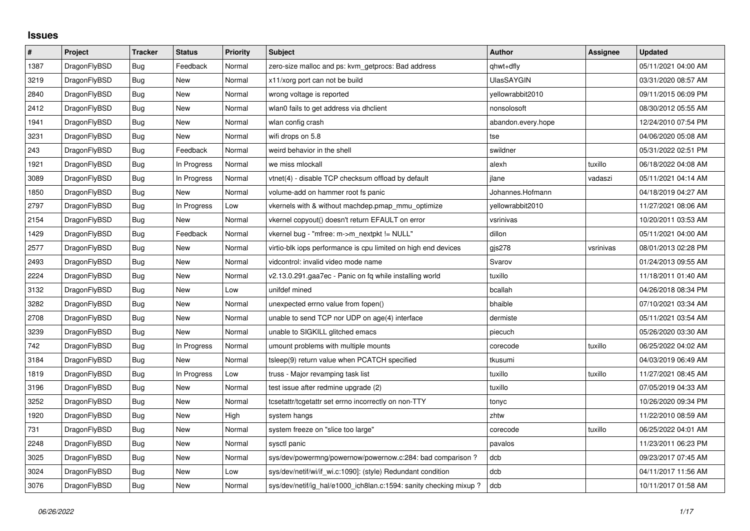## **Issues**

| $\sharp$ | Project      | <b>Tracker</b> | <b>Status</b> | <b>Priority</b> | <b>Subject</b>                                                     | <b>Author</b>      | Assignee  | <b>Updated</b>      |
|----------|--------------|----------------|---------------|-----------------|--------------------------------------------------------------------|--------------------|-----------|---------------------|
| 1387     | DragonFlyBSD | <b>Bug</b>     | Feedback      | Normal          | zero-size malloc and ps: kvm getprocs: Bad address                 | qhwt+dfly          |           | 05/11/2021 04:00 AM |
| 3219     | DragonFlyBSD | <b>Bug</b>     | New           | Normal          | x11/xorg port can not be build                                     | <b>UlasSAYGIN</b>  |           | 03/31/2020 08:57 AM |
| 2840     | DragonFlyBSD | Bug            | New           | Normal          | wrong voltage is reported                                          | vellowrabbit2010   |           | 09/11/2015 06:09 PM |
| 2412     | DragonFlyBSD | <b>Bug</b>     | <b>New</b>    | Normal          | wlan0 fails to get address via dhclient                            | nonsolosoft        |           | 08/30/2012 05:55 AM |
| 1941     | DragonFlyBSD | Bug            | New           | Normal          | wlan config crash                                                  | abandon.every.hope |           | 12/24/2010 07:54 PM |
| 3231     | DragonFlyBSD | Bug            | New           | Normal          | wifi drops on 5.8                                                  | tse                |           | 04/06/2020 05:08 AM |
| 243      | DragonFlyBSD | Bug            | Feedback      | Normal          | weird behavior in the shell                                        | swildner           |           | 05/31/2022 02:51 PM |
| 1921     | DragonFlyBSD | Bug            | In Progress   | Normal          | we miss mlockall                                                   | alexh              | tuxillo   | 06/18/2022 04:08 AM |
| 3089     | DragonFlyBSD | Bug            | In Progress   | Normal          | vtnet(4) - disable TCP checksum offload by default                 | jlane              | vadaszi   | 05/11/2021 04:14 AM |
| 1850     | DragonFlyBSD | <b>Bug</b>     | New           | Normal          | volume-add on hammer root fs panic                                 | Johannes.Hofmann   |           | 04/18/2019 04:27 AM |
| 2797     | DragonFlyBSD | Bug            | In Progress   | Low             | vkernels with & without machdep.pmap_mmu_optimize                  | yellowrabbit2010   |           | 11/27/2021 08:06 AM |
| 2154     | DragonFlyBSD | <b>Bug</b>     | New           | Normal          | vkernel copyout() doesn't return EFAULT on error                   | vsrinivas          |           | 10/20/2011 03:53 AM |
| 1429     | DragonFlyBSD | <b>Bug</b>     | Feedback      | Normal          | vkernel bug - "mfree: m->m_nextpkt != NULL"                        | dillon             |           | 05/11/2021 04:00 AM |
| 2577     | DragonFlyBSD | Bug            | New           | Normal          | virtio-blk iops performance is cpu limited on high end devices     | gjs278             | vsrinivas | 08/01/2013 02:28 PM |
| 2493     | DragonFlyBSD | Bug            | <b>New</b>    | Normal          | vidcontrol: invalid video mode name                                | Svarov             |           | 01/24/2013 09:55 AM |
| 2224     | DragonFlyBSD | Bug            | New           | Normal          | v2.13.0.291.gaa7ec - Panic on fq while installing world            | tuxillo            |           | 11/18/2011 01:40 AM |
| 3132     | DragonFlyBSD | Bug            | New           | Low             | unifdef mined                                                      | bcallah            |           | 04/26/2018 08:34 PM |
| 3282     | DragonFlyBSD | Bug            | New           | Normal          | unexpected errno value from fopen()                                | bhaible            |           | 07/10/2021 03:34 AM |
| 2708     | DragonFlyBSD | Bug            | New           | Normal          | unable to send TCP nor UDP on age(4) interface                     | dermiste           |           | 05/11/2021 03:54 AM |
| 3239     | DragonFlyBSD | Bug            | New           | Normal          | unable to SIGKILL glitched emacs                                   | piecuch            |           | 05/26/2020 03:30 AM |
| 742      | DragonFlyBSD | Bug            | In Progress   | Normal          | umount problems with multiple mounts                               | corecode           | tuxillo   | 06/25/2022 04:02 AM |
| 3184     | DragonFlyBSD | Bug            | New           | Normal          | tsleep(9) return value when PCATCH specified                       | tkusumi            |           | 04/03/2019 06:49 AM |
| 1819     | DragonFlyBSD | Bug            | In Progress   | Low             | truss - Major revamping task list                                  | tuxillo            | tuxillo   | 11/27/2021 08:45 AM |
| 3196     | DragonFlyBSD | <b>Bug</b>     | New           | Normal          | test issue after redmine upgrade (2)                               | tuxillo            |           | 07/05/2019 04:33 AM |
| 3252     | DragonFlyBSD | <b>Bug</b>     | New           | Normal          | tcsetattr/tcgetattr set errno incorrectly on non-TTY               | tonyc              |           | 10/26/2020 09:34 PM |
| 1920     | DragonFlyBSD | Bug            | New           | High            | system hangs                                                       | zhtw               |           | 11/22/2010 08:59 AM |
| 731      | DragonFlyBSD | Bug            | New           | Normal          | system freeze on "slice too large"                                 | corecode           | tuxillo   | 06/25/2022 04:01 AM |
| 2248     | DragonFlyBSD | <b>Bug</b>     | New           | Normal          | sysctl panic                                                       | pavalos            |           | 11/23/2011 06:23 PM |
| 3025     | DragonFlyBSD | Bug            | New           | Normal          | sys/dev/powermng/powernow/powernow.c:284: bad comparison ?         | dcb                |           | 09/23/2017 07:45 AM |
| 3024     | DragonFlyBSD | Bug            | New           | Low             | sys/dev/netif/wi/if wi.c:1090]: (style) Redundant condition        | dcb                |           | 04/11/2017 11:56 AM |
| 3076     | DragonFlyBSD | <b>Bug</b>     | New           | Normal          | sys/dev/netif/ig_hal/e1000_ich8lan.c:1594: sanity checking mixup ? | dcb                |           | 10/11/2017 01:58 AM |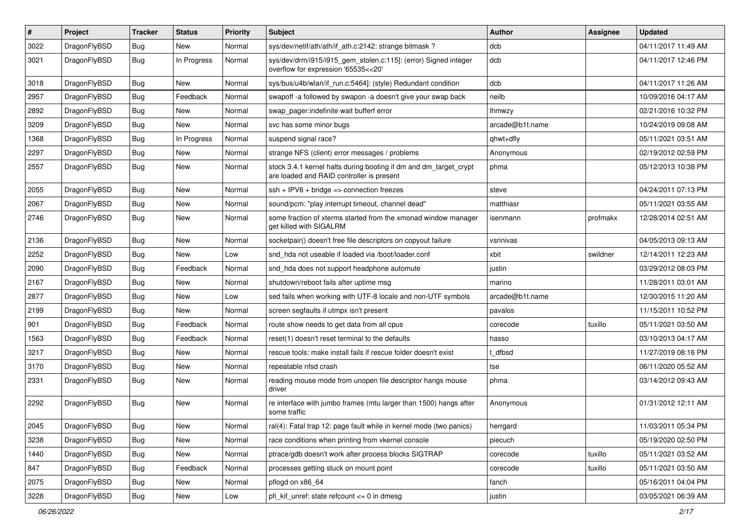| #    | Project      | <b>Tracker</b> | <b>Status</b> | <b>Priority</b> | Subject                                                                                                        | Author          | Assignee | <b>Updated</b>      |
|------|--------------|----------------|---------------|-----------------|----------------------------------------------------------------------------------------------------------------|-----------------|----------|---------------------|
| 3022 | DragonFlyBSD | Bug            | New           | Normal          | sys/dev/netif/ath/ath/if_ath.c:2142: strange bitmask?                                                          | dcb             |          | 04/11/2017 11:49 AM |
| 3021 | DragonFlyBSD | Bug            | In Progress   | Normal          | sys/dev/drm/i915/i915_gem_stolen.c:115]: (error) Signed integer<br>overflow for expression '65535<<20'         | dcb             |          | 04/11/2017 12:46 PM |
| 3018 | DragonFlyBSD | Bug            | New           | Normal          | sys/bus/u4b/wlan/if_run.c:5464]: (style) Redundant condition                                                   | dcb             |          | 04/11/2017 11:26 AM |
| 2957 | DragonFlyBSD | Bug            | Feedback      | Normal          | swapoff -a followed by swapon -a doesn't give your swap back                                                   | neilb           |          | 10/09/2016 04:17 AM |
| 2892 | DragonFlyBSD | Bug            | New           | Normal          | swap_pager:indefinite wait bufferf error                                                                       | <b>Ihmwzy</b>   |          | 02/21/2016 10:32 PM |
| 3209 | DragonFlyBSD | Bug            | <b>New</b>    | Normal          | svc has some minor bugs                                                                                        | arcade@b1t.name |          | 10/24/2019 09:08 AM |
| 1368 | DragonFlyBSD | Bug            | In Progress   | Normal          | suspend signal race?                                                                                           | qhwt+dfly       |          | 05/11/2021 03:51 AM |
| 2297 | DragonFlyBSD | Bug            | <b>New</b>    | Normal          | strange NFS (client) error messages / problems                                                                 | Anonymous       |          | 02/19/2012 02:59 PM |
| 2557 | DragonFlyBSD | Bug            | New           | Normal          | stock 3.4.1 kernel halts during booting if dm and dm_target_crypt<br>are loaded and RAID controller is present | phma            |          | 05/12/2013 10:38 PM |
| 2055 | DragonFlyBSD | <b>Bug</b>     | <b>New</b>    | Normal          | $ssh + IPV6 + bridge \Rightarrow connection freezes$                                                           | steve           |          | 04/24/2011 07:13 PM |
| 2067 | DragonFlyBSD | Bug            | New           | Normal          | sound/pcm: "play interrupt timeout, channel dead"                                                              | matthiasr       |          | 05/11/2021 03:55 AM |
| 2746 | DragonFlyBSD | Bug            | New           | Normal          | some fraction of xterms started from the xmonad window manager<br>get killed with SIGALRM                      | isenmann        | profmakx | 12/28/2014 02:51 AM |
| 2136 | DragonFlyBSD | Bug            | <b>New</b>    | Normal          | socketpair() doesn't free file descriptors on copyout failure                                                  | vsrinivas       |          | 04/05/2013 09:13 AM |
| 2252 | DragonFlyBSD | Bug            | <b>New</b>    | Low             | snd_hda not useable if loaded via /boot/loader.conf                                                            | xbit            | swildner | 12/14/2011 12:23 AM |
| 2090 | DragonFlyBSD | Bug            | Feedback      | Normal          | snd_hda does not support headphone automute                                                                    | justin          |          | 03/29/2012 08:03 PM |
| 2167 | DragonFlyBSD | Bug            | New           | Normal          | shutdown/reboot fails after uptime msg                                                                         | marino          |          | 11/28/2011 03:01 AM |
| 2877 | DragonFlyBSD | Bug            | New           | Low             | sed fails when working with UTF-8 locale and non-UTF symbols                                                   | arcade@b1t.name |          | 12/30/2015 11:20 AM |
| 2199 | DragonFlyBSD | Bug            | New           | Normal          | screen segfaults if utmpx isn't present                                                                        | pavalos         |          | 11/15/2011 10:52 PM |
| 901  | DragonFlyBSD | Bug            | Feedback      | Normal          | route show needs to get data from all cpus                                                                     | corecode        | tuxillo  | 05/11/2021 03:50 AM |
| 1563 | DragonFlyBSD | Bug            | Feedback      | Normal          | reset(1) doesn't reset terminal to the defaults                                                                | hasso           |          | 03/10/2013 04:17 AM |
| 3217 | DragonFlyBSD | Bug            | New           | Normal          | rescue tools: make install fails if rescue folder doesn't exist                                                | t dfbsd         |          | 11/27/2019 08:16 PM |
| 3170 | DragonFlyBSD | Bug            | New           | Normal          | repeatable nfsd crash                                                                                          | tse             |          | 06/11/2020 05:52 AM |
| 2331 | DragonFlyBSD | Bug            | New           | Normal          | reading mouse mode from unopen file descriptor hangs mouse<br>driver                                           | phma            |          | 03/14/2012 09:43 AM |
| 2292 | DragonFlyBSD | Bug            | New           | Normal          | re interface with jumbo frames (mtu larger than 1500) hangs after<br>some traffic                              | Anonymous       |          | 01/31/2012 12:11 AM |
| 2045 | DragonFlyBSD | <b>Bug</b>     | <b>New</b>    | Normal          | ral(4): Fatal trap 12: page fault while in kernel mode (two panics)                                            | herrgard        |          | 11/03/2011 05:34 PM |
| 3238 | DragonFlyBSD | <b>Bug</b>     | <b>New</b>    | Normal          | race conditions when printing from vkernel console                                                             | piecuch         |          | 05/19/2020 02:50 PM |
| 1440 | DragonFlyBSD | <b>Bug</b>     | New           | Normal          | ptrace/gdb doesn't work after process blocks SIGTRAP                                                           | corecode        | tuxillo  | 05/11/2021 03:52 AM |
| 847  | DragonFlyBSD | <b>Bug</b>     | Feedback      | Normal          | processes getting stuck on mount point                                                                         | corecode        | tuxillo  | 05/11/2021 03:50 AM |
| 2075 | DragonFlyBSD | <b>Bug</b>     | New           | Normal          | pflogd on x86_64                                                                                               | fanch           |          | 05/16/2011 04:04 PM |
| 3228 | DragonFlyBSD | <b>Bug</b>     | New           | Low             | pfi_kif_unref: state refcount <= 0 in dmesg                                                                    | justin          |          | 03/05/2021 06:39 AM |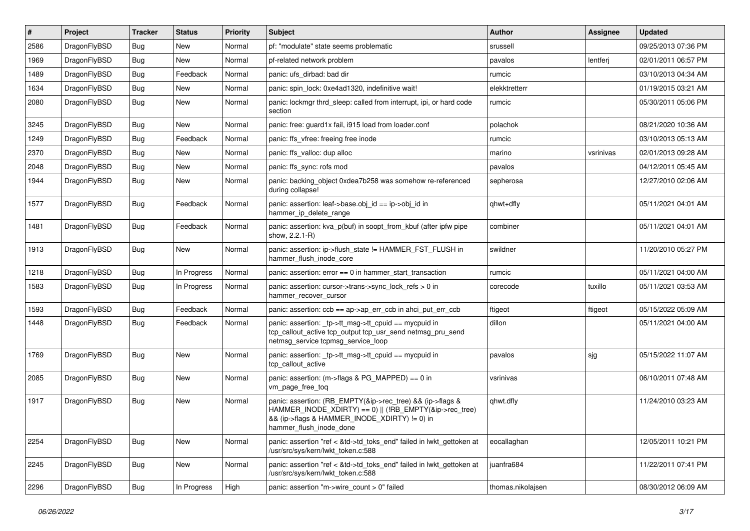| #    | Project      | <b>Tracker</b> | <b>Status</b> | <b>Priority</b> | <b>Subject</b>                                                                                                                                                                                    | <b>Author</b>     | Assignee  | <b>Updated</b>      |
|------|--------------|----------------|---------------|-----------------|---------------------------------------------------------------------------------------------------------------------------------------------------------------------------------------------------|-------------------|-----------|---------------------|
| 2586 | DragonFlyBSD | <b>Bug</b>     | New           | Normal          | pf: "modulate" state seems problematic                                                                                                                                                            | srussell          |           | 09/25/2013 07:36 PM |
| 1969 | DragonFlyBSD | <b>Bug</b>     | New           | Normal          | pf-related network problem                                                                                                                                                                        | pavalos           | lentferj  | 02/01/2011 06:57 PM |
| 1489 | DragonFlyBSD | <b>Bug</b>     | Feedback      | Normal          | panic: ufs dirbad: bad dir                                                                                                                                                                        | rumcic            |           | 03/10/2013 04:34 AM |
| 1634 | DragonFlyBSD | <b>Bug</b>     | New           | Normal          | panic: spin_lock: 0xe4ad1320, indefinitive wait!                                                                                                                                                  | elekktretterr     |           | 01/19/2015 03:21 AM |
| 2080 | DragonFlyBSD | <b>Bug</b>     | New           | Normal          | panic: lockmgr thrd sleep: called from interrupt, ipi, or hard code<br>section                                                                                                                    | rumcic            |           | 05/30/2011 05:06 PM |
| 3245 | DragonFlyBSD | <b>Bug</b>     | New           | Normal          | panic: free: guard1x fail, i915 load from loader.conf                                                                                                                                             | polachok          |           | 08/21/2020 10:36 AM |
| 1249 | DragonFlyBSD | <b>Bug</b>     | Feedback      | Normal          | panic: ffs vfree: freeing free inode                                                                                                                                                              | rumcic            |           | 03/10/2013 05:13 AM |
| 2370 | DragonFlyBSD | <b>Bug</b>     | <b>New</b>    | Normal          | panic: ffs valloc: dup alloc                                                                                                                                                                      | marino            | vsrinivas | 02/01/2013 09:28 AM |
| 2048 | DragonFlyBSD | <b>Bug</b>     | New           | Normal          | panic: ffs sync: rofs mod                                                                                                                                                                         | pavalos           |           | 04/12/2011 05:45 AM |
| 1944 | DragonFlyBSD | <b>Bug</b>     | New           | Normal          | panic: backing object 0xdea7b258 was somehow re-referenced<br>during collapse!                                                                                                                    | sepherosa         |           | 12/27/2010 02:06 AM |
| 1577 | DragonFlyBSD | <b>Bug</b>     | Feedback      | Normal          | panic: assertion: leaf->base.obj_id == ip->obj_id in<br>hammer_ip_delete_range                                                                                                                    | qhwt+dfly         |           | 05/11/2021 04:01 AM |
| 1481 | DragonFlyBSD | <b>Bug</b>     | Feedback      | Normal          | panic: assertion: kva p(buf) in soopt from kbuf (after ipfw pipe<br>show, 2.2.1-R)                                                                                                                | combiner          |           | 05/11/2021 04:01 AM |
| 1913 | DragonFlyBSD | <b>Bug</b>     | New           | Normal          | panic: assertion: ip->flush state != HAMMER FST FLUSH in<br>hammer_flush_inode_core                                                                                                               | swildner          |           | 11/20/2010 05:27 PM |
| 1218 | DragonFlyBSD | <b>Bug</b>     | In Progress   | Normal          | panic: assertion: $error == 0$ in hammer start transaction                                                                                                                                        | rumcic            |           | 05/11/2021 04:00 AM |
| 1583 | DragonFlyBSD | <b>Bug</b>     | In Progress   | Normal          | panic: assertion: cursor->trans->sync_lock_refs > 0 in<br>hammer_recover_cursor                                                                                                                   | corecode          | tuxillo   | 05/11/2021 03:53 AM |
| 1593 | DragonFlyBSD | <b>Bug</b>     | Feedback      | Normal          | panic: assertion: $\cosh ==$ ap->ap err $\cosh$ in ahci put err $\cosh$                                                                                                                           | ftigeot           | ftigeot   | 05/15/2022 05:09 AM |
| 1448 | DragonFlyBSD | Bug            | Feedback      | Normal          | panic: assertion: _tp->tt_msg->tt_cpuid == mycpuid in<br>tcp_callout_active tcp_output tcp_usr_send netmsg_pru_send<br>netmsg service tcpmsg service loop                                         | dillon            |           | 05/11/2021 04:00 AM |
| 1769 | DragonFlyBSD | Bug            | New           | Normal          | panic: assertion: _tp->tt_msg->tt_cpuid == mycpuid in<br>tcp callout active                                                                                                                       | pavalos           | sjg       | 05/15/2022 11:07 AM |
| 2085 | DragonFlyBSD | <b>Bug</b>     | New           | Normal          | panic: assertion: (m->flags & PG_MAPPED) == 0 in<br>vm_page_free_toq                                                                                                                              | vsrinivas         |           | 06/10/2011 07:48 AM |
| 1917 | DragonFlyBSD | Bug            | New           | Normal          | panic: assertion: (RB EMPTY(&ip->rec tree) && (ip->flags &<br>HAMMER_INODE_XDIRTY) == 0)    (!RB_EMPTY(&ip->rec_tree)<br>&& (ip->flags & HAMMER_INODE_XDIRTY) != 0) in<br>hammer_flush_inode_done | qhwt.dfly         |           | 11/24/2010 03:23 AM |
| 2254 | DragonFlyBSD | Bug            | New           | Normal          | panic: assertion "ref < &td->td toks end" failed in lwkt gettoken at<br>/usr/src/sys/kern/lwkt_token.c:588                                                                                        | eocallaghan       |           | 12/05/2011 10:21 PM |
| 2245 | DragonFlyBSD | <b>Bug</b>     | New           | Normal          | panic: assertion "ref < &td->td_toks_end" failed in lwkt_gettoken at<br>/usr/src/sys/kern/lwkt_token.c:588                                                                                        | juanfra684        |           | 11/22/2011 07:41 PM |
| 2296 | DragonFlyBSD | <b>Bug</b>     | In Progress   | High            | panic: assertion "m->wire_count > 0" failed                                                                                                                                                       | thomas.nikolajsen |           | 08/30/2012 06:09 AM |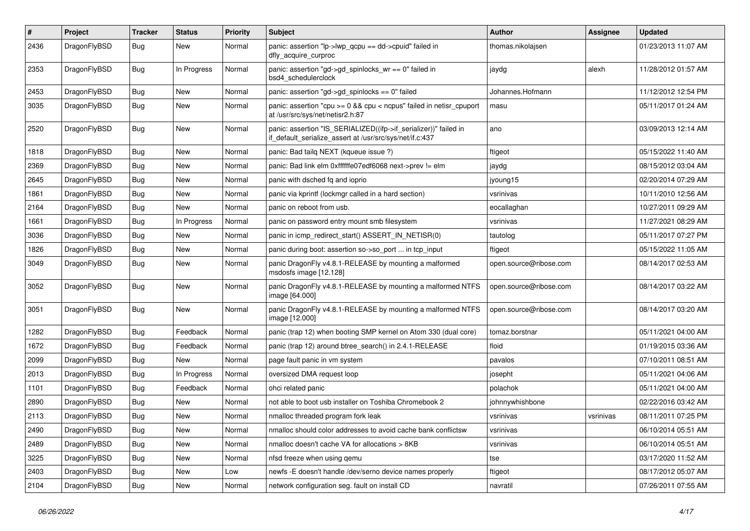| $\sharp$ | Project      | <b>Tracker</b> | <b>Status</b> | <b>Priority</b> | Subject                                                                                                                      | <b>Author</b>          | <b>Assignee</b> | <b>Updated</b>      |
|----------|--------------|----------------|---------------|-----------------|------------------------------------------------------------------------------------------------------------------------------|------------------------|-----------------|---------------------|
| 2436     | DragonFlyBSD | Bug            | New           | Normal          | panic: assertion "lp->lwp_qcpu == dd->cpuid" failed in<br>dfly_acquire_curproc                                               | thomas.nikolajsen      |                 | 01/23/2013 11:07 AM |
| 2353     | DragonFlyBSD | Bug            | In Progress   | Normal          | panic: assertion "gd->gd spinlocks $wr == 0$ " failed in<br>bsd4 schedulerclock                                              | jaydg                  | alexh           | 11/28/2012 01:57 AM |
| 2453     | DragonFlyBSD | Bug            | <b>New</b>    | Normal          | panic: assertion "gd->gd_spinlocks == 0" failed                                                                              | Johannes.Hofmann       |                 | 11/12/2012 12:54 PM |
| 3035     | DragonFlyBSD | Bug            | <b>New</b>    | Normal          | panic: assertion "cpu >= 0 && cpu < ncpus" failed in netisr_cpuport<br>at /usr/src/sys/net/netisr2.h:87                      | masu                   |                 | 05/11/2017 01:24 AM |
| 2520     | DragonFlyBSD | Bug            | <b>New</b>    | Normal          | panic: assertion "IS_SERIALIZED((ifp->if_serializer))" failed in<br>if_default_serialize_assert at /usr/src/sys/net/if.c:437 | ano                    |                 | 03/09/2013 12:14 AM |
| 1818     | DragonFlyBSD | Bug            | New           | Normal          | panic: Bad tailq NEXT (kqueue issue ?)                                                                                       | ftigeot                |                 | 05/15/2022 11:40 AM |
| 2369     | DragonFlyBSD | Bug            | New           | Normal          | panic: Bad link elm 0xffffffe07edf6068 next->prev != elm                                                                     | jaydg                  |                 | 08/15/2012 03:04 AM |
| 2645     | DragonFlyBSD | Bug            | <b>New</b>    | Normal          | panic with dsched fq and ioprio                                                                                              | jyoung15               |                 | 02/20/2014 07:29 AM |
| 1861     | DragonFlyBSD | Bug            | New           | Normal          | panic via kprintf (lockmgr called in a hard section)                                                                         | vsrinivas              |                 | 10/11/2010 12:56 AM |
| 2164     | DragonFlyBSD | Bug            | New           | Normal          | panic on reboot from usb.                                                                                                    | eocallaghan            |                 | 10/27/2011 09:29 AM |
| 1661     | DragonFlyBSD | <b>Bug</b>     | In Progress   | Normal          | panic on password entry mount smb filesystem                                                                                 | vsrinivas              |                 | 11/27/2021 08:29 AM |
| 3036     | DragonFlyBSD | <b>Bug</b>     | New           | Normal          | panic in icmp_redirect_start() ASSERT_IN_NETISR(0)                                                                           | tautolog               |                 | 05/11/2017 07:27 PM |
| 1826     | DragonFlyBSD | <b>Bug</b>     | New           | Normal          | panic during boot: assertion so->so_port  in tcp_input                                                                       | ftigeot                |                 | 05/15/2022 11:05 AM |
| 3049     | DragonFlyBSD | <b>Bug</b>     | New           | Normal          | panic DragonFly v4.8.1-RELEASE by mounting a malformed<br>msdosfs image [12.128]                                             | open.source@ribose.com |                 | 08/14/2017 02:53 AM |
| 3052     | DragonFlyBSD | <b>Bug</b>     | New           | Normal          | panic DragonFly v4.8.1-RELEASE by mounting a malformed NTFS<br>image [64.000]                                                | open.source@ribose.com |                 | 08/14/2017 03:22 AM |
| 3051     | DragonFlyBSD | <b>Bug</b>     | New           | Normal          | panic DragonFly v4.8.1-RELEASE by mounting a malformed NTFS<br>image [12.000]                                                | open.source@ribose.com |                 | 08/14/2017 03:20 AM |
| 1282     | DragonFlyBSD | <b>Bug</b>     | Feedback      | Normal          | panic (trap 12) when booting SMP kernel on Atom 330 (dual core)                                                              | tomaz.borstnar         |                 | 05/11/2021 04:00 AM |
| 1672     | DragonFlyBSD | <b>Bug</b>     | Feedback      | Normal          | panic (trap 12) around btree_search() in 2.4.1-RELEASE                                                                       | floid                  |                 | 01/19/2015 03:36 AM |
| 2099     | DragonFlyBSD | <b>Bug</b>     | New           | Normal          | page fault panic in vm system                                                                                                | pavalos                |                 | 07/10/2011 08:51 AM |
| 2013     | DragonFlyBSD | <b>Bug</b>     | In Progress   | Normal          | oversized DMA request loop                                                                                                   | josepht                |                 | 05/11/2021 04:06 AM |
| 1101     | DragonFlyBSD | <b>Bug</b>     | Feedback      | Normal          | ohci related panic                                                                                                           | polachok               |                 | 05/11/2021 04:00 AM |
| 2890     | DragonFlyBSD | <b>Bug</b>     | New           | Normal          | not able to boot usb installer on Toshiba Chromebook 2                                                                       | johnnywhishbone        |                 | 02/22/2016 03:42 AM |
| 2113     | DragonFlyBSD | Bug            | New           | Normal          | nmalloc threaded program fork leak                                                                                           | vsrinivas              | vsrinivas       | 08/11/2011 07:25 PM |
| 2490     | DragonFlyBSD | <b>Bug</b>     | <b>New</b>    | Normal          | nmalloc should color addresses to avoid cache bank conflictsw                                                                | vsrinivas              |                 | 06/10/2014 05:51 AM |
| 2489     | DragonFlyBSD | <b>Bug</b>     | <b>New</b>    | Normal          | nmalloc doesn't cache VA for allocations > 8KB                                                                               | vsrinivas              |                 | 06/10/2014 05:51 AM |
| 3225     | DragonFlyBSD | <b>Bug</b>     | New           | Normal          | nfsd freeze when using gemu                                                                                                  | tse                    |                 | 03/17/2020 11:52 AM |
| 2403     | DragonFlyBSD | <b>Bug</b>     | New           | Low             | newfs - E doesn't handle /dev/serno device names properly                                                                    | ftigeot                |                 | 08/17/2012 05:07 AM |
| 2104     | DragonFlyBSD | Bug            | New           | Normal          | network configuration seg. fault on install CD                                                                               | navratil               |                 | 07/26/2011 07:55 AM |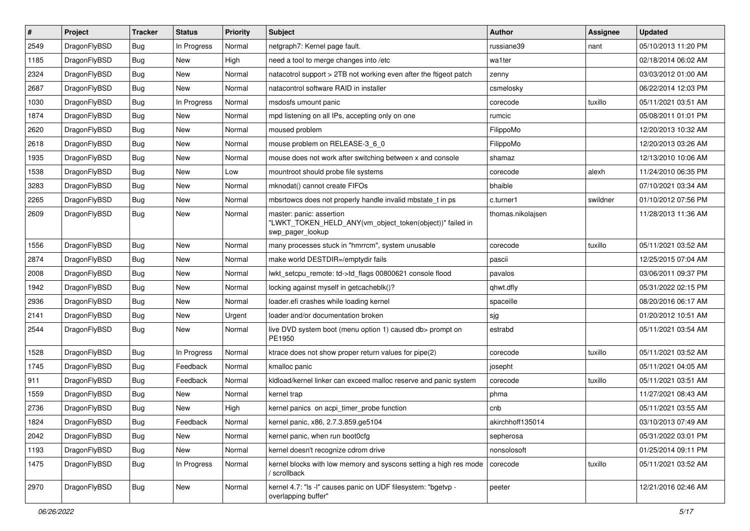| $\sharp$ | Project      | <b>Tracker</b> | <b>Status</b> | <b>Priority</b> | Subject                                                                                                  | Author            | Assignee | <b>Updated</b>      |
|----------|--------------|----------------|---------------|-----------------|----------------------------------------------------------------------------------------------------------|-------------------|----------|---------------------|
| 2549     | DragonFlyBSD | <b>Bug</b>     | In Progress   | Normal          | netgraph7: Kernel page fault.                                                                            | russiane39        | nant     | 05/10/2013 11:20 PM |
| 1185     | DragonFlyBSD | <b>Bug</b>     | <b>New</b>    | High            | need a tool to merge changes into /etc                                                                   | wa1ter            |          | 02/18/2014 06:02 AM |
| 2324     | DragonFlyBSD | <b>Bug</b>     | New           | Normal          | natacotrol support > 2TB not working even after the ftigeot patch                                        | zenny             |          | 03/03/2012 01:00 AM |
| 2687     | DragonFlyBSD | <b>Bug</b>     | New           | Normal          | natacontrol software RAID in installer                                                                   | csmelosky         |          | 06/22/2014 12:03 PM |
| 1030     | DragonFlyBSD | <b>Bug</b>     | In Progress   | Normal          | msdosfs umount panic                                                                                     | corecode          | tuxillo  | 05/11/2021 03:51 AM |
| 1874     | DragonFlyBSD | <b>Bug</b>     | <b>New</b>    | Normal          | mpd listening on all IPs, accepting only on one                                                          | rumcic            |          | 05/08/2011 01:01 PM |
| 2620     | DragonFlyBSD | <b>Bug</b>     | <b>New</b>    | Normal          | moused problem                                                                                           | FilippoMo         |          | 12/20/2013 10:32 AM |
| 2618     | DragonFlyBSD | <b>Bug</b>     | New           | Normal          | mouse problem on RELEASE-3_6_0                                                                           | FilippoMo         |          | 12/20/2013 03:26 AM |
| 1935     | DragonFlyBSD | <b>Bug</b>     | New           | Normal          | mouse does not work after switching between x and console                                                | shamaz            |          | 12/13/2010 10:06 AM |
| 1538     | DragonFlyBSD | Bug            | <b>New</b>    | Low             | mountroot should probe file systems                                                                      | corecode          | alexh    | 11/24/2010 06:35 PM |
| 3283     | DragonFlyBSD | <b>Bug</b>     | New           | Normal          | mknodat() cannot create FIFOs                                                                            | bhaible           |          | 07/10/2021 03:34 AM |
| 2265     | DragonFlyBSD | <b>Bug</b>     | <b>New</b>    | Normal          | mbsrtowcs does not properly handle invalid mbstate_t in ps                                               | c.turner1         | swildner | 01/10/2012 07:56 PM |
| 2609     | DragonFlyBSD | <b>Bug</b>     | <b>New</b>    | Normal          | master: panic: assertion<br>"LWKT_TOKEN_HELD_ANY(vm_object_token(object))" failed in<br>swp_pager_lookup | thomas.nikolajsen |          | 11/28/2013 11:36 AM |
| 1556     | DragonFlyBSD | Bug            | <b>New</b>    | Normal          | many processes stuck in "hmrrcm", system unusable                                                        | corecode          | tuxillo  | 05/11/2021 03:52 AM |
| 2874     | DragonFlyBSD | <b>Bug</b>     | New           | Normal          | make world DESTDIR=/emptydir fails                                                                       | pascii            |          | 12/25/2015 07:04 AM |
| 2008     | DragonFlyBSD | Bug            | <b>New</b>    | Normal          | lwkt_setcpu_remote: td->td_flags 00800621 console flood                                                  | pavalos           |          | 03/06/2011 09:37 PM |
| 1942     | DragonFlyBSD | <b>Bug</b>     | New           | Normal          | locking against myself in getcacheblk()?                                                                 | qhwt.dfly         |          | 05/31/2022 02:15 PM |
| 2936     | DragonFlyBSD | <b>Bug</b>     | New           | Normal          | loader.efi crashes while loading kernel                                                                  | spaceille         |          | 08/20/2016 06:17 AM |
| 2141     | DragonFlyBSD | <b>Bug</b>     | New           | Urgent          | loader and/or documentation broken                                                                       | sjg               |          | 01/20/2012 10:51 AM |
| 2544     | DragonFlyBSD | <b>Bug</b>     | New           | Normal          | live DVD system boot (menu option 1) caused db> prompt on<br>PE1950                                      | estrabd           |          | 05/11/2021 03:54 AM |
| 1528     | DragonFlyBSD | <b>Bug</b>     | In Progress   | Normal          | ktrace does not show proper return values for pipe(2)                                                    | corecode          | tuxillo  | 05/11/2021 03:52 AM |
| 1745     | DragonFlyBSD | <b>Bug</b>     | Feedback      | Normal          | kmalloc panic                                                                                            | josepht           |          | 05/11/2021 04:05 AM |
| 911      | DragonFlyBSD | Bug            | Feedback      | Normal          | kldload/kernel linker can exceed malloc reserve and panic system                                         | corecode          | tuxillo  | 05/11/2021 03:51 AM |
| 1559     | DragonFlyBSD | <b>Bug</b>     | New           | Normal          | kernel trap                                                                                              | phma              |          | 11/27/2021 08:43 AM |
| 2736     | DragonFlyBSD | <b>Bug</b>     | New           | High            | kernel panics on acpi timer probe function                                                               | cnb               |          | 05/11/2021 03:55 AM |
| 1824     | DragonFlyBSD | Bug            | Feedback      | Normal          | kernel panic, x86, 2.7.3.859.ge5104                                                                      | akirchhoff135014  |          | 03/10/2013 07:49 AM |
| 2042     | DragonFlyBSD | <b>Bug</b>     | <b>New</b>    | Normal          | kernel panic, when run boot0cfg                                                                          | sepherosa         |          | 05/31/2022 03:01 PM |
| 1193     | DragonFlyBSD | Bug            | New           | Normal          | kernel doesn't recognize cdrom drive                                                                     | nonsolosoft       |          | 01/25/2014 09:11 PM |
| 1475     | DragonFlyBSD | <b>Bug</b>     | In Progress   | Normal          | kernel blocks with low memory and syscons setting a high res mode<br>/ scrollback                        | corecode          | tuxillo  | 05/11/2021 03:52 AM |
| 2970     | DragonFlyBSD | <b>Bug</b>     | New           | Normal          | kernel 4.7: "Is -I" causes panic on UDF filesystem: "bgetvp -<br>overlapping buffer"                     | peeter            |          | 12/21/2016 02:46 AM |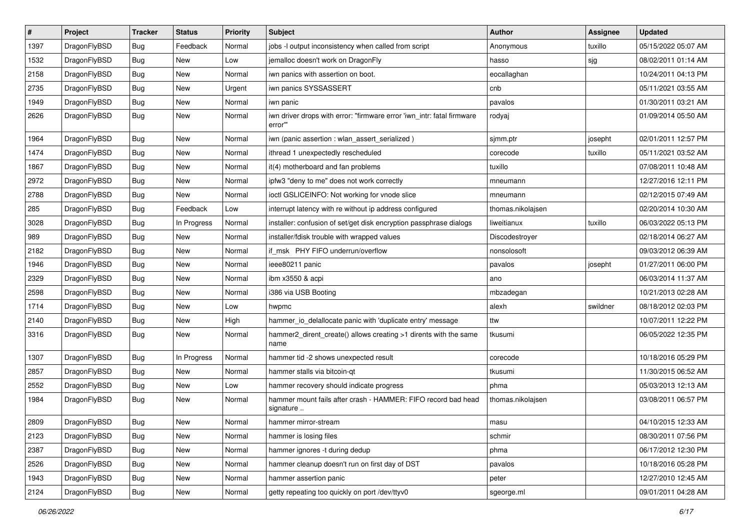| #    | Project      | <b>Tracker</b> | <b>Status</b> | <b>Priority</b> | Subject                                                                           | Author            | <b>Assignee</b> | <b>Updated</b>      |
|------|--------------|----------------|---------------|-----------------|-----------------------------------------------------------------------------------|-------------------|-----------------|---------------------|
| 1397 | DragonFlyBSD | Bug            | Feedback      | Normal          | jobs -I output inconsistency when called from script                              | Anonymous         | tuxillo         | 05/15/2022 05:07 AM |
| 1532 | DragonFlyBSD | Bug            | <b>New</b>    | Low             | jemalloc doesn't work on DragonFly                                                | hasso             | sjg             | 08/02/2011 01:14 AM |
| 2158 | DragonFlyBSD | <b>Bug</b>     | New           | Normal          | iwn panics with assertion on boot.                                                | eocallaghan       |                 | 10/24/2011 04:13 PM |
| 2735 | DragonFlyBSD | Bug            | <b>New</b>    | Urgent          | iwn panics SYSSASSERT                                                             | cnb               |                 | 05/11/2021 03:55 AM |
| 1949 | DragonFlyBSD | Bug            | New           | Normal          | iwn panic                                                                         | pavalos           |                 | 01/30/2011 03:21 AM |
| 2626 | DragonFlyBSD | Bug            | New           | Normal          | iwn driver drops with error: "firmware error 'iwn_intr: fatal firmware<br>error"" | rodyaj            |                 | 01/09/2014 05:50 AM |
| 1964 | DragonFlyBSD | Bug            | <b>New</b>    | Normal          | iwn (panic assertion : wlan_assert_serialized)                                    | sjmm.ptr          | josepht         | 02/01/2011 12:57 PM |
| 1474 | DragonFlyBSD | Bug            | <b>New</b>    | Normal          | ithread 1 unexpectedly rescheduled                                                | corecode          | tuxillo         | 05/11/2021 03:52 AM |
| 1867 | DragonFlyBSD | Bug            | <b>New</b>    | Normal          | it(4) motherboard and fan problems                                                | tuxillo           |                 | 07/08/2011 10:48 AM |
| 2972 | DragonFlyBSD | <b>Bug</b>     | New           | Normal          | ipfw3 "deny to me" does not work correctly                                        | mneumann          |                 | 12/27/2016 12:11 PM |
| 2788 | DragonFlyBSD | Bug            | New           | Normal          | ioctl GSLICEINFO: Not working for vnode slice                                     | mneumann          |                 | 02/12/2015 07:49 AM |
| 285  | DragonFlyBSD | <b>Bug</b>     | Feedback      | Low             | interrupt latency with re without ip address configured                           | thomas.nikolajsen |                 | 02/20/2014 10:30 AM |
| 3028 | DragonFlyBSD | <b>Bug</b>     | In Progress   | Normal          | installer: confusion of set/get disk encryption passphrase dialogs                | liweitianux       | tuxillo         | 06/03/2022 05:13 PM |
| 989  | DragonFlyBSD | <b>Bug</b>     | New           | Normal          | installer/fdisk trouble with wrapped values                                       | Discodestroyer    |                 | 02/18/2014 06:27 AM |
| 2182 | DragonFlyBSD | <b>Bug</b>     | New           | Normal          | if msk PHY FIFO underrun/overflow                                                 | nonsolosoft       |                 | 09/03/2012 06:39 AM |
| 1946 | DragonFlyBSD | Bug            | <b>New</b>    | Normal          | ieee80211 panic                                                                   | pavalos           | josepht         | 01/27/2011 06:00 PM |
| 2329 | DragonFlyBSD | <b>Bug</b>     | <b>New</b>    | Normal          | ibm x3550 & acpi                                                                  | ano               |                 | 06/03/2014 11:37 AM |
| 2598 | DragonFlyBSD | Bug            | New           | Normal          | i386 via USB Booting                                                              | mbzadegan         |                 | 10/21/2013 02:28 AM |
| 1714 | DragonFlyBSD | <b>Bug</b>     | <b>New</b>    | Low             | hwpmc                                                                             | alexh             | swildner        | 08/18/2012 02:03 PM |
| 2140 | DragonFlyBSD | <b>Bug</b>     | New           | High            | hammer_io_delallocate panic with 'duplicate entry' message                        | ttw               |                 | 10/07/2011 12:22 PM |
| 3316 | DragonFlyBSD | Bug            | New           | Normal          | hammer2_dirent_create() allows creating >1 dirents with the same<br>name          | tkusumi           |                 | 06/05/2022 12:35 PM |
| 1307 | DragonFlyBSD | <b>Bug</b>     | In Progress   | Normal          | hammer tid -2 shows unexpected result                                             | corecode          |                 | 10/18/2016 05:29 PM |
| 2857 | DragonFlyBSD | Bug            | <b>New</b>    | Normal          | hammer stalls via bitcoin-qt                                                      | tkusumi           |                 | 11/30/2015 06:52 AM |
| 2552 | DragonFlyBSD | <b>Bug</b>     | New           | Low             | hammer recovery should indicate progress                                          | phma              |                 | 05/03/2013 12:13 AM |
| 1984 | DragonFlyBSD | Bug            | New           | Normal          | hammer mount fails after crash - HAMMER: FIFO record bad head<br>signature        | thomas.nikolajsen |                 | 03/08/2011 06:57 PM |
| 2809 | DragonFlyBSD | Bug            | New           | Normal          | hammer mirror-stream                                                              | masu              |                 | 04/10/2015 12:33 AM |
| 2123 | DragonFlyBSD | Bug            | New           | Normal          | hammer is losing files                                                            | schmir            |                 | 08/30/2011 07:56 PM |
| 2387 | DragonFlyBSD | <b>Bug</b>     | New           | Normal          | hammer ignores -t during dedup                                                    | phma              |                 | 06/17/2012 12:30 PM |
| 2526 | DragonFlyBSD | <b>Bug</b>     | New           | Normal          | hammer cleanup doesn't run on first day of DST                                    | pavalos           |                 | 10/18/2016 05:28 PM |
| 1943 | DragonFlyBSD | <b>Bug</b>     | New           | Normal          | hammer assertion panic                                                            | peter             |                 | 12/27/2010 12:45 AM |
| 2124 | DragonFlyBSD | <b>Bug</b>     | New           | Normal          | getty repeating too quickly on port /dev/ttyv0                                    | sgeorge.ml        |                 | 09/01/2011 04:28 AM |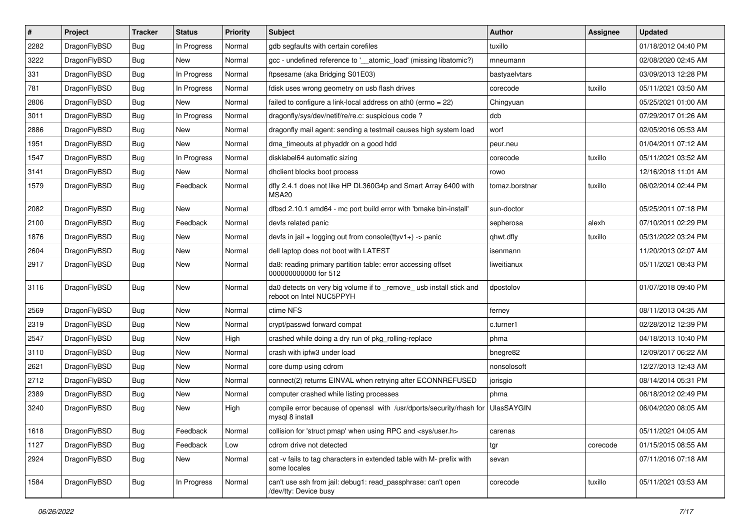| $\sharp$ | Project      | <b>Tracker</b> | <b>Status</b> | <b>Priority</b> | Subject                                                                                         | Author            | Assignee | <b>Updated</b>      |
|----------|--------------|----------------|---------------|-----------------|-------------------------------------------------------------------------------------------------|-------------------|----------|---------------------|
| 2282     | DragonFlyBSD | Bug            | In Progress   | Normal          | gdb segfaults with certain corefiles                                                            | tuxillo           |          | 01/18/2012 04:40 PM |
| 3222     | DragonFlyBSD | Bug            | <b>New</b>    | Normal          | gcc - undefined reference to '__atomic_load' (missing libatomic?)                               | mneumann          |          | 02/08/2020 02:45 AM |
| 331      | DragonFlyBSD | Bug            | In Progress   | Normal          | ftpsesame (aka Bridging S01E03)                                                                 | bastyaelvtars     |          | 03/09/2013 12:28 PM |
| 781      | DragonFlyBSD | Bug            | In Progress   | Normal          | fdisk uses wrong geometry on usb flash drives                                                   | corecode          | tuxillo  | 05/11/2021 03:50 AM |
| 2806     | DragonFlyBSD | Bug            | <b>New</b>    | Normal          | failed to configure a link-local address on ath0 (errno = 22)                                   | Chingyuan         |          | 05/25/2021 01:00 AM |
| 3011     | DragonFlyBSD | Bug            | In Progress   | Normal          | dragonfly/sys/dev/netif/re/re.c: suspicious code?                                               | dcb               |          | 07/29/2017 01:26 AM |
| 2886     | DragonFlyBSD | Bug            | <b>New</b>    | Normal          | dragonfly mail agent: sending a testmail causes high system load                                | worf              |          | 02/05/2016 05:53 AM |
| 1951     | DragonFlyBSD | Bug            | New           | Normal          | dma timeouts at phyaddr on a good hdd                                                           | peur.neu          |          | 01/04/2011 07:12 AM |
| 1547     | DragonFlyBSD | Bug            | In Progress   | Normal          | disklabel64 automatic sizing                                                                    | corecode          | tuxillo  | 05/11/2021 03:52 AM |
| 3141     | DragonFlyBSD | Bug            | New           | Normal          | dhclient blocks boot process                                                                    | rowo              |          | 12/16/2018 11:01 AM |
| 1579     | DragonFlyBSD | Bug            | Feedback      | Normal          | dfly 2.4.1 does not like HP DL360G4p and Smart Array 6400 with<br>MSA20                         | tomaz.borstnar    | tuxillo  | 06/02/2014 02:44 PM |
| 2082     | DragonFlyBSD | Bug            | <b>New</b>    | Normal          | dfbsd 2.10.1 amd64 - mc port build error with 'bmake bin-install'                               | sun-doctor        |          | 05/25/2011 07:18 PM |
| 2100     | DragonFlyBSD | Bug            | Feedback      | Normal          | devfs related panic                                                                             | sepherosa         | alexh    | 07/10/2011 02:29 PM |
| 1876     | DragonFlyBSD | Bug            | New           | Normal          | devfs in jail + logging out from console(ttyv1+) -> panic                                       | qhwt.dfly         | tuxillo  | 05/31/2022 03:24 PM |
| 2604     | DragonFlyBSD | Bug            | New           | Normal          | dell laptop does not boot with LATEST                                                           | isenmann          |          | 11/20/2013 02:07 AM |
| 2917     | DragonFlyBSD | Bug            | <b>New</b>    | Normal          | da8: reading primary partition table: error accessing offset<br>000000000000 for 512            | liweitianux       |          | 05/11/2021 08:43 PM |
| 3116     | DragonFlyBSD | Bug            | New           | Normal          | da0 detects on very big volume if to _remove_ usb install stick and<br>reboot on Intel NUC5PPYH | dpostolov         |          | 01/07/2018 09:40 PM |
| 2569     | DragonFlyBSD | Bug            | <b>New</b>    | Normal          | ctime NFS                                                                                       | ferney            |          | 08/11/2013 04:35 AM |
| 2319     | DragonFlyBSD | Bug            | New           | Normal          | crypt/passwd forward compat                                                                     | c.turner1         |          | 02/28/2012 12:39 PM |
| 2547     | DragonFlyBSD | Bug            | <b>New</b>    | High            | crashed while doing a dry run of pkg_rolling-replace                                            | phma              |          | 04/18/2013 10:40 PM |
| 3110     | DragonFlyBSD | Bug            | <b>New</b>    | Normal          | crash with ipfw3 under load                                                                     | bnegre82          |          | 12/09/2017 06:22 AM |
| 2621     | DragonFlyBSD | Bug            | New           | Normal          | core dump using cdrom                                                                           | nonsolosoft       |          | 12/27/2013 12:43 AM |
| 2712     | DragonFlyBSD | Bug            | <b>New</b>    | Normal          | connect(2) returns EINVAL when retrying after ECONNREFUSED                                      | jorisgio          |          | 08/14/2014 05:31 PM |
| 2389     | DragonFlyBSD | Bug            | <b>New</b>    | Normal          | computer crashed while listing processes                                                        | phma              |          | 06/18/2012 02:49 PM |
| 3240     | DragonFlyBSD | Bug            | New           | High            | compile error because of openssl with /usr/dports/security/rhash for<br>mysql 8 install         | <b>UlasSAYGIN</b> |          | 06/04/2020 08:05 AM |
| 1618     | DragonFlyBSD | <b>Bug</b>     | Feedback      | Normal          | collision for 'struct pmap' when using RPC and <sys user.h=""></sys>                            | carenas           |          | 05/11/2021 04:05 AM |
| 1127     | DragonFlyBSD | <b>Bug</b>     | Feedback      | Low             | cdrom drive not detected                                                                        | tgr               | corecode | 01/15/2015 08:55 AM |
| 2924     | DragonFlyBSD | <b>Bug</b>     | New           | Normal          | cat -v fails to tag characters in extended table with M- prefix with<br>some locales            | sevan             |          | 07/11/2016 07:18 AM |
| 1584     | DragonFlyBSD | <b>Bug</b>     | In Progress   | Normal          | can't use ssh from jail: debug1: read_passphrase: can't open<br>/dev/tty: Device busy           | corecode          | tuxillo  | 05/11/2021 03:53 AM |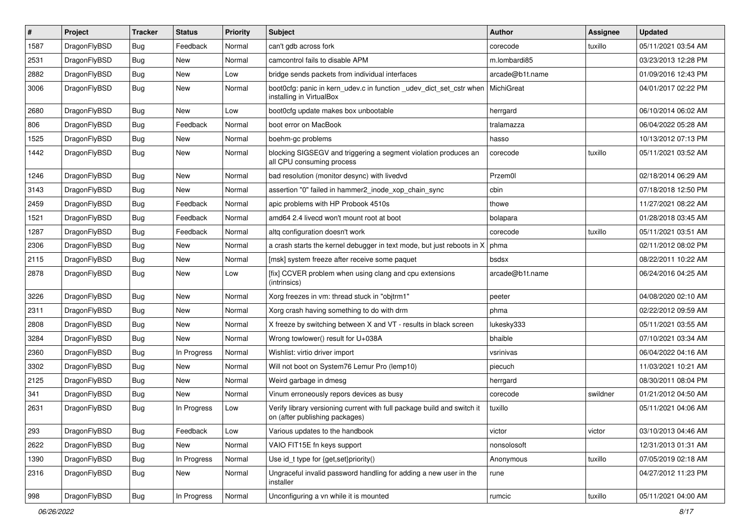| $\sharp$ | Project      | <b>Tracker</b> | <b>Status</b> | <b>Priority</b> | Subject                                                                                                   | Author          | <b>Assignee</b> | <b>Updated</b>      |
|----------|--------------|----------------|---------------|-----------------|-----------------------------------------------------------------------------------------------------------|-----------------|-----------------|---------------------|
| 1587     | DragonFlyBSD | Bug            | Feedback      | Normal          | can't gdb across fork                                                                                     | corecode        | tuxillo         | 05/11/2021 03:54 AM |
| 2531     | DragonFlyBSD | Bug            | New           | Normal          | camcontrol fails to disable APM                                                                           | m.lombardi85    |                 | 03/23/2013 12:28 PM |
| 2882     | DragonFlyBSD | Bug            | New           | Low             | bridge sends packets from individual interfaces                                                           | arcade@b1t.name |                 | 01/09/2016 12:43 PM |
| 3006     | DragonFlyBSD | Bug            | <b>New</b>    | Normal          | boot0cfg: panic in kern_udev.c in function _udev_dict_set_cstr when<br>installing in VirtualBox           | MichiGreat      |                 | 04/01/2017 02:22 PM |
| 2680     | DragonFlyBSD | Bug            | New           | Low             | boot0cfg update makes box unbootable                                                                      | herrgard        |                 | 06/10/2014 06:02 AM |
| 806      | DragonFlyBSD | Bug            | Feedback      | Normal          | boot error on MacBook                                                                                     | tralamazza      |                 | 06/04/2022 05:28 AM |
| 1525     | DragonFlyBSD | Bug            | New           | Normal          | boehm-gc problems                                                                                         | hasso           |                 | 10/13/2012 07:13 PM |
| 1442     | DragonFlyBSD | Bug            | New           | Normal          | blocking SIGSEGV and triggering a segment violation produces an<br>all CPU consuming process              | corecode        | tuxillo         | 05/11/2021 03:52 AM |
| 1246     | DragonFlyBSD | Bug            | <b>New</b>    | Normal          | bad resolution (monitor desync) with livedvd                                                              | Przem0l         |                 | 02/18/2014 06:29 AM |
| 3143     | DragonFlyBSD | <b>Bug</b>     | New           | Normal          | assertion "0" failed in hammer2 inode xop chain sync                                                      | cbin            |                 | 07/18/2018 12:50 PM |
| 2459     | DragonFlyBSD | Bug            | Feedback      | Normal          | apic problems with HP Probook 4510s                                                                       | thowe           |                 | 11/27/2021 08:22 AM |
| 1521     | DragonFlyBSD | <b>Bug</b>     | Feedback      | Normal          | amd64 2.4 livecd won't mount root at boot                                                                 | bolapara        |                 | 01/28/2018 03:45 AM |
| 1287     | DragonFlyBSD | Bug            | Feedback      | Normal          | altg configuration doesn't work                                                                           | corecode        | tuxillo         | 05/11/2021 03:51 AM |
| 2306     | DragonFlyBSD | Bug            | New           | Normal          | a crash starts the kernel debugger in text mode, but just reboots in X                                    | phma            |                 | 02/11/2012 08:02 PM |
| 2115     | DragonFlyBSD | <b>Bug</b>     | New           | Normal          | [msk] system freeze after receive some paquet                                                             | bsdsx           |                 | 08/22/2011 10:22 AM |
| 2878     | DragonFlyBSD | Bug            | New           | Low             | [fix] CCVER problem when using clang and cpu extensions<br>(intrinsics)                                   | arcade@b1t.name |                 | 06/24/2016 04:25 AM |
| 3226     | DragonFlyBSD | Bug            | <b>New</b>    | Normal          | Xorg freezes in vm: thread stuck in "objtrm1"                                                             | peeter          |                 | 04/08/2020 02:10 AM |
| 2311     | DragonFlyBSD | Bug            | New           | Normal          | Xorg crash having something to do with drm                                                                | phma            |                 | 02/22/2012 09:59 AM |
| 2808     | DragonFlyBSD | Bug            | <b>New</b>    | Normal          | X freeze by switching between X and VT - results in black screen                                          | lukesky333      |                 | 05/11/2021 03:55 AM |
| 3284     | DragonFlyBSD | Bug            | <b>New</b>    | Normal          | Wrong towlower() result for U+038A                                                                        | bhaible         |                 | 07/10/2021 03:34 AM |
| 2360     | DragonFlyBSD | <b>Bug</b>     | In Progress   | Normal          | Wishlist: virtio driver import                                                                            | vsrinivas       |                 | 06/04/2022 04:16 AM |
| 3302     | DragonFlyBSD | <b>Bug</b>     | <b>New</b>    | Normal          | Will not boot on System76 Lemur Pro (lemp10)                                                              | piecuch         |                 | 11/03/2021 10:21 AM |
| 2125     | DragonFlyBSD | Bug            | New           | Normal          | Weird garbage in dmesg                                                                                    | herrgard        |                 | 08/30/2011 08:04 PM |
| 341      | DragonFlyBSD | <b>Bug</b>     | New           | Normal          | Vinum erroneously repors devices as busy                                                                  | corecode        | swildner        | 01/21/2012 04:50 AM |
| 2631     | DragonFlyBSD | Bug            | In Progress   | Low             | Verify library versioning current with full package build and switch it<br>on (after publishing packages) | tuxillo         |                 | 05/11/2021 04:06 AM |
| 293      | DragonFlyBSD | <b>Bug</b>     | Feedback      | Low             | Various updates to the handbook                                                                           | victor          | victor          | 03/10/2013 04:46 AM |
| 2622     | DragonFlyBSD | <b>Bug</b>     | New           | Normal          | VAIO FIT15E fn keys support                                                                               | nonsolosoft     |                 | 12/31/2013 01:31 AM |
| 1390     | DragonFlyBSD | <b>Bug</b>     | In Progress   | Normal          | Use id_t type for {get,set}priority()                                                                     | Anonymous       | tuxillo         | 07/05/2019 02:18 AM |
| 2316     | DragonFlyBSD | <b>Bug</b>     | New           | Normal          | Ungraceful invalid password handling for adding a new user in the<br>installer                            | rune            |                 | 04/27/2012 11:23 PM |
| 998      | DragonFlyBSD | Bug            | In Progress   | Normal          | Unconfiguring a vn while it is mounted                                                                    | rumcic          | tuxillo         | 05/11/2021 04:00 AM |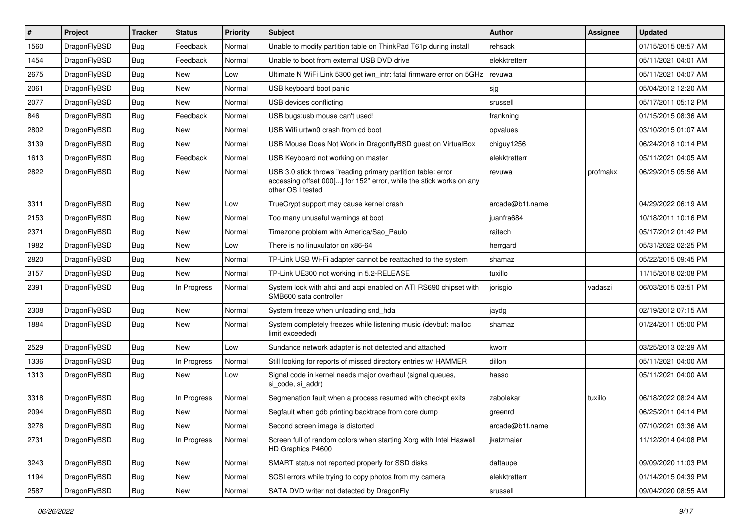| #    | Project      | <b>Tracker</b> | <b>Status</b> | <b>Priority</b> | Subject                                                                                                                                                  | <b>Author</b>   | Assignee | <b>Updated</b>      |
|------|--------------|----------------|---------------|-----------------|----------------------------------------------------------------------------------------------------------------------------------------------------------|-----------------|----------|---------------------|
| 1560 | DragonFlyBSD | <b>Bug</b>     | Feedback      | Normal          | Unable to modify partition table on ThinkPad T61p during install                                                                                         | rehsack         |          | 01/15/2015 08:57 AM |
| 1454 | DragonFlyBSD | <b>Bug</b>     | Feedback      | Normal          | Unable to boot from external USB DVD drive                                                                                                               | elekktretterr   |          | 05/11/2021 04:01 AM |
| 2675 | DragonFlyBSD | <b>Bug</b>     | <b>New</b>    | Low             | Ultimate N WiFi Link 5300 get iwn intr: fatal firmware error on 5GHz                                                                                     | revuwa          |          | 05/11/2021 04:07 AM |
| 2061 | DragonFlyBSD | <b>Bug</b>     | New           | Normal          | USB keyboard boot panic                                                                                                                                  | sjg             |          | 05/04/2012 12:20 AM |
| 2077 | DragonFlyBSD | <b>Bug</b>     | <b>New</b>    | Normal          | USB devices conflicting                                                                                                                                  | srussell        |          | 05/17/2011 05:12 PM |
| 846  | DragonFlyBSD | <b>Bug</b>     | Feedback      | Normal          | USB bugs:usb mouse can't used!                                                                                                                           | frankning       |          | 01/15/2015 08:36 AM |
| 2802 | DragonFlyBSD | <b>Bug</b>     | <b>New</b>    | Normal          | USB Wifi urtwn0 crash from cd boot                                                                                                                       | opvalues        |          | 03/10/2015 01:07 AM |
| 3139 | DragonFlyBSD | <b>Bug</b>     | <b>New</b>    | Normal          | USB Mouse Does Not Work in DragonflyBSD guest on VirtualBox                                                                                              | chiguy1256      |          | 06/24/2018 10:14 PM |
| 1613 | DragonFlyBSD | <b>Bug</b>     | Feedback      | Normal          | USB Keyboard not working on master                                                                                                                       | elekktretterr   |          | 05/11/2021 04:05 AM |
| 2822 | DragonFlyBSD | <b>Bug</b>     | <b>New</b>    | Normal          | USB 3.0 stick throws "reading primary partition table: error<br>accessing offset 000[] for 152" error, while the stick works on any<br>other OS I tested | revuwa          | profmakx | 06/29/2015 05:56 AM |
| 3311 | DragonFlyBSD | Bug            | <b>New</b>    | Low             | TrueCrypt support may cause kernel crash                                                                                                                 | arcade@b1t.name |          | 04/29/2022 06:19 AM |
| 2153 | DragonFlyBSD | Bug            | <b>New</b>    | Normal          | Too many unuseful warnings at boot                                                                                                                       | juanfra684      |          | 10/18/2011 10:16 PM |
| 2371 | DragonFlyBSD | <b>Bug</b>     | <b>New</b>    | Normal          | Timezone problem with America/Sao_Paulo                                                                                                                  | raitech         |          | 05/17/2012 01:42 PM |
| 1982 | DragonFlyBSD | <b>Bug</b>     | New           | Low             | There is no linuxulator on x86-64                                                                                                                        | herrgard        |          | 05/31/2022 02:25 PM |
| 2820 | DragonFlyBSD | <b>Bug</b>     | <b>New</b>    | Normal          | TP-Link USB Wi-Fi adapter cannot be reattached to the system                                                                                             | shamaz          |          | 05/22/2015 09:45 PM |
| 3157 | DragonFlyBSD | Bug            | <b>New</b>    | Normal          | TP-Link UE300 not working in 5.2-RELEASE                                                                                                                 | tuxillo         |          | 11/15/2018 02:08 PM |
| 2391 | DragonFlyBSD | <b>Bug</b>     | In Progress   | Normal          | System lock with ahci and acpi enabled on ATI RS690 chipset with<br>SMB600 sata controller                                                               | jorisgio        | vadaszi  | 06/03/2015 03:51 PM |
| 2308 | DragonFlyBSD | Bug            | <b>New</b>    | Normal          | System freeze when unloading snd_hda                                                                                                                     | jaydg           |          | 02/19/2012 07:15 AM |
| 1884 | DragonFlyBSD | <b>Bug</b>     | <b>New</b>    | Normal          | System completely freezes while listening music (devbuf: malloc<br>limit exceeded)                                                                       | shamaz          |          | 01/24/2011 05:00 PM |
| 2529 | DragonFlyBSD | <b>Bug</b>     | New           | Low             | Sundance network adapter is not detected and attached                                                                                                    | kworr           |          | 03/25/2013 02:29 AM |
| 1336 | DragonFlyBSD | <b>Bug</b>     | In Progress   | Normal          | Still looking for reports of missed directory entries w/ HAMMER                                                                                          | dillon          |          | 05/11/2021 04:00 AM |
| 1313 | DragonFlyBSD | <b>Bug</b>     | <b>New</b>    | Low             | Signal code in kernel needs major overhaul (signal queues,<br>si_code, si_addr)                                                                          | hasso           |          | 05/11/2021 04:00 AM |
| 3318 | DragonFlyBSD | Bug            | In Progress   | Normal          | Segmenation fault when a process resumed with checkpt exits                                                                                              | zabolekar       | tuxillo  | 06/18/2022 08:24 AM |
| 2094 | DragonFlyBSD | <b>Bug</b>     | <b>New</b>    | Normal          | Segfault when gdb printing backtrace from core dump                                                                                                      | greenrd         |          | 06/25/2011 04:14 PM |
| 3278 | DragonFlyBSD | <b>Bug</b>     | New           | Normal          | Second screen image is distorted                                                                                                                         | arcade@b1t.name |          | 07/10/2021 03:36 AM |
| 2731 | DragonFlyBSD | Bug            | In Progress   | Normal          | Screen full of random colors when starting Xorg with Intel Haswell<br>HD Graphics P4600                                                                  | jkatzmaier      |          | 11/12/2014 04:08 PM |
| 3243 | DragonFlyBSD | <b>Bug</b>     | New           | Normal          | SMART status not reported properly for SSD disks                                                                                                         | daftaupe        |          | 09/09/2020 11:03 PM |
| 1194 | DragonFlyBSD | Bug            | New           | Normal          | SCSI errors while trying to copy photos from my camera                                                                                                   | elekktretterr   |          | 01/14/2015 04:39 PM |
| 2587 | DragonFlyBSD | <b>Bug</b>     | New           | Normal          | SATA DVD writer not detected by DragonFly                                                                                                                | srussell        |          | 09/04/2020 08:55 AM |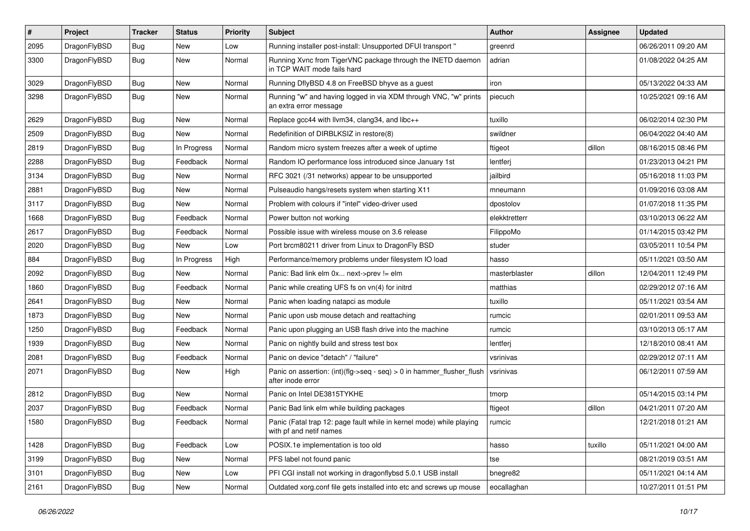| $\pmb{\#}$ | Project      | <b>Tracker</b> | <b>Status</b> | <b>Priority</b> | Subject                                                                                         | Author        | <b>Assignee</b> | <b>Updated</b>      |
|------------|--------------|----------------|---------------|-----------------|-------------------------------------------------------------------------------------------------|---------------|-----------------|---------------------|
| 2095       | DragonFlyBSD | Bug            | New           | Low             | Running installer post-install: Unsupported DFUI transport "                                    | greenrd       |                 | 06/26/2011 09:20 AM |
| 3300       | DragonFlyBSD | Bug            | New           | Normal          | Running Xvnc from TigerVNC package through the INETD daemon<br>in TCP WAIT mode fails hard      | adrian        |                 | 01/08/2022 04:25 AM |
| 3029       | DragonFlyBSD | Bug            | <b>New</b>    | Normal          | Running DflyBSD 4.8 on FreeBSD bhyve as a guest                                                 | iron          |                 | 05/13/2022 04:33 AM |
| 3298       | DragonFlyBSD | Bug            | New           | Normal          | Running "w" and having logged in via XDM through VNC, "w" prints<br>an extra error message      | piecuch       |                 | 10/25/2021 09:16 AM |
| 2629       | DragonFlyBSD | Bug            | <b>New</b>    | Normal          | Replace gcc44 with llvm34, clang34, and libc++                                                  | tuxillo       |                 | 06/02/2014 02:30 PM |
| 2509       | DragonFlyBSD | Bug            | New           | Normal          | Redefinition of DIRBLKSIZ in restore(8)                                                         | swildner      |                 | 06/04/2022 04:40 AM |
| 2819       | DragonFlyBSD | Bug            | In Progress   | Normal          | Random micro system freezes after a week of uptime                                              | ftigeot       | dillon          | 08/16/2015 08:46 PM |
| 2288       | DragonFlyBSD | Bug            | Feedback      | Normal          | Random IO performance loss introduced since January 1st                                         | lentferj      |                 | 01/23/2013 04:21 PM |
| 3134       | DragonFlyBSD | Bug            | New           | Normal          | RFC 3021 (/31 networks) appear to be unsupported                                                | jailbird      |                 | 05/16/2018 11:03 PM |
| 2881       | DragonFlyBSD | Bug            | <b>New</b>    | Normal          | Pulseaudio hangs/resets system when starting X11                                                | mneumann      |                 | 01/09/2016 03:08 AM |
| 3117       | DragonFlyBSD | Bug            | New           | Normal          | Problem with colours if "intel" video-driver used                                               | dpostolov     |                 | 01/07/2018 11:35 PM |
| 1668       | DragonFlyBSD | Bug            | Feedback      | Normal          | Power button not working                                                                        | elekktretterr |                 | 03/10/2013 06:22 AM |
| 2617       | DragonFlyBSD | Bug            | Feedback      | Normal          | Possible issue with wireless mouse on 3.6 release                                               | FilippoMo     |                 | 01/14/2015 03:42 PM |
| 2020       | DragonFlyBSD | Bug            | New           | Low             | Port brcm80211 driver from Linux to DragonFly BSD                                               | studer        |                 | 03/05/2011 10:54 PM |
| 884        | DragonFlyBSD | <b>Bug</b>     | In Progress   | High            | Performance/memory problems under filesystem IO load                                            | hasso         |                 | 05/11/2021 03:50 AM |
| 2092       | DragonFlyBSD | Bug            | New           | Normal          | Panic: Bad link elm 0x next->prev != elm                                                        | masterblaster | dillon          | 12/04/2011 12:49 PM |
| 1860       | DragonFlyBSD | <b>Bug</b>     | Feedback      | Normal          | Panic while creating UFS fs on vn(4) for initrd                                                 | matthias      |                 | 02/29/2012 07:16 AM |
| 2641       | DragonFlyBSD | Bug            | New           | Normal          | Panic when loading natapci as module                                                            | tuxillo       |                 | 05/11/2021 03:54 AM |
| 1873       | DragonFlyBSD | Bug            | New           | Normal          | Panic upon usb mouse detach and reattaching                                                     | rumcic        |                 | 02/01/2011 09:53 AM |
| 1250       | DragonFlyBSD | Bug            | Feedback      | Normal          | Panic upon plugging an USB flash drive into the machine                                         | rumcic        |                 | 03/10/2013 05:17 AM |
| 1939       | DragonFlyBSD | Bug            | New           | Normal          | Panic on nightly build and stress test box                                                      | lentferj      |                 | 12/18/2010 08:41 AM |
| 2081       | DragonFlyBSD | Bug            | Feedback      | Normal          | Panic on device "detach" / "failure"                                                            | vsrinivas     |                 | 02/29/2012 07:11 AM |
| 2071       | DragonFlyBSD | Bug            | New           | High            | Panic on assertion: (int)(flg->seq - seq) > 0 in hammer_flusher_flush<br>after inode error      | vsrinivas     |                 | 06/12/2011 07:59 AM |
| 2812       | DragonFlyBSD | Bug            | <b>New</b>    | Normal          | Panic on Intel DE3815TYKHE                                                                      | tmorp         |                 | 05/14/2015 03:14 PM |
| 2037       | DragonFlyBSD | Bug            | Feedback      | Normal          | Panic Bad link elm while building packages                                                      | ftigeot       | dillon          | 04/21/2011 07:20 AM |
| 1580       | DragonFlyBSD | <b>Bug</b>     | Feedback      | Normal          | Panic (Fatal trap 12: page fault while in kernel mode) while playing<br>with pf and netif names | rumcic        |                 | 12/21/2018 01:21 AM |
| 1428       | DragonFlyBSD | Bug            | Feedback      | Low             | POSIX.1e implementation is too old                                                              | hasso         | tuxillo         | 05/11/2021 04:00 AM |
| 3199       | DragonFlyBSD | <b>Bug</b>     | New           | Normal          | PFS label not found panic                                                                       | tse           |                 | 08/21/2019 03:51 AM |
| 3101       | DragonFlyBSD | Bug            | New           | Low             | PFI CGI install not working in dragonflybsd 5.0.1 USB install                                   | bnegre82      |                 | 05/11/2021 04:14 AM |
| 2161       | DragonFlyBSD | <b>Bug</b>     | New           | Normal          | Outdated xorg.conf file gets installed into etc and screws up mouse                             | eocallaghan   |                 | 10/27/2011 01:51 PM |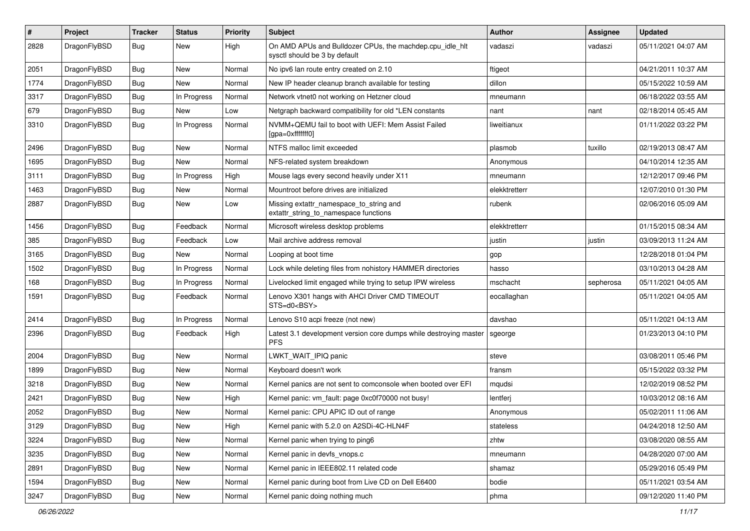| $\sharp$ | Project      | <b>Tracker</b> | <b>Status</b> | <b>Priority</b> | Subject                                                                                   | Author        | Assignee  | <b>Updated</b>      |
|----------|--------------|----------------|---------------|-----------------|-------------------------------------------------------------------------------------------|---------------|-----------|---------------------|
| 2828     | DragonFlyBSD | <b>Bug</b>     | New           | High            | On AMD APUs and Bulldozer CPUs, the machdep.cpu_idle_hlt<br>sysctl should be 3 by default | vadaszi       | vadaszi   | 05/11/2021 04:07 AM |
| 2051     | DragonFlyBSD | <b>Bug</b>     | New           | Normal          | No ipv6 lan route entry created on 2.10                                                   | ftigeot       |           | 04/21/2011 10:37 AM |
| 1774     | DragonFlyBSD | Bug            | New           | Normal          | New IP header cleanup branch available for testing                                        | dillon        |           | 05/15/2022 10:59 AM |
| 3317     | DragonFlyBSD | Bug            | In Progress   | Normal          | Network vtnet0 not working on Hetzner cloud                                               | mneumann      |           | 06/18/2022 03:55 AM |
| 679      | DragonFlyBSD | Bug            | New           | Low             | Netgraph backward compatibility for old *LEN constants                                    | nant          | nant      | 02/18/2014 05:45 AM |
| 3310     | DragonFlyBSD | Bug            | In Progress   | Normal          | NVMM+QEMU fail to boot with UEFI: Mem Assist Failed<br>[gpa=0xfffffff0]                   | liweitianux   |           | 01/11/2022 03:22 PM |
| 2496     | DragonFlyBSD | Bug            | <b>New</b>    | Normal          | NTFS malloc limit exceeded                                                                | plasmob       | tuxillo   | 02/19/2013 08:47 AM |
| 1695     | DragonFlyBSD | Bug            | New           | Normal          | NFS-related system breakdown                                                              | Anonymous     |           | 04/10/2014 12:35 AM |
| 3111     | DragonFlyBSD | Bug            | In Progress   | High            | Mouse lags every second heavily under X11                                                 | mneumann      |           | 12/12/2017 09:46 PM |
| 1463     | DragonFlyBSD | Bug            | New           | Normal          | Mountroot before drives are initialized                                                   | elekktretterr |           | 12/07/2010 01:30 PM |
| 2887     | DragonFlyBSD | Bug            | New           | Low             | Missing extattr_namespace_to_string and<br>extattr_string_to_namespace functions          | rubenk        |           | 02/06/2016 05:09 AM |
| 1456     | DragonFlyBSD | Bug            | Feedback      | Normal          | Microsoft wireless desktop problems                                                       | elekktretterr |           | 01/15/2015 08:34 AM |
| 385      | DragonFlyBSD | Bug            | Feedback      | Low             | Mail archive address removal                                                              | justin        | justin    | 03/09/2013 11:24 AM |
| 3165     | DragonFlyBSD | Bug            | New           | Normal          | Looping at boot time                                                                      | gop           |           | 12/28/2018 01:04 PM |
| 1502     | DragonFlyBSD | Bug            | In Progress   | Normal          | Lock while deleting files from nohistory HAMMER directories                               | hasso         |           | 03/10/2013 04:28 AM |
| 168      | DragonFlyBSD | Bug            | In Progress   | Normal          | Livelocked limit engaged while trying to setup IPW wireless                               | mschacht      | sepherosa | 05/11/2021 04:05 AM |
| 1591     | DragonFlyBSD | <b>Bug</b>     | Feedback      | Normal          | Lenovo X301 hangs with AHCI Driver CMD TIMEOUT<br>STS=d0 <bsy></bsy>                      | eocallaghan   |           | 05/11/2021 04:05 AM |
| 2414     | DragonFlyBSD | <b>Bug</b>     | In Progress   | Normal          | Lenovo S10 acpi freeze (not new)                                                          | davshao       |           | 05/11/2021 04:13 AM |
| 2396     | DragonFlyBSD | <b>Bug</b>     | Feedback      | High            | Latest 3.1 development version core dumps while destroying master<br><b>PFS</b>           | sgeorge       |           | 01/23/2013 04:10 PM |
| 2004     | DragonFlyBSD | Bug            | New           | Normal          | LWKT_WAIT_IPIQ panic                                                                      | steve         |           | 03/08/2011 05:46 PM |
| 1899     | DragonFlyBSD | Bug            | <b>New</b>    | Normal          | Keyboard doesn't work                                                                     | fransm        |           | 05/15/2022 03:32 PM |
| 3218     | DragonFlyBSD | Bug            | New           | Normal          | Kernel panics are not sent to comconsole when booted over EFI                             | mqudsi        |           | 12/02/2019 08:52 PM |
| 2421     | DragonFlyBSD | <b>Bug</b>     | New           | High            | Kernel panic: vm_fault: page 0xc0f70000 not busy!                                         | lentferj      |           | 10/03/2012 08:16 AM |
| 2052     | DragonFlyBSD | <b>Bug</b>     | New           | Normal          | Kernel panic: CPU APIC ID out of range                                                    | Anonymous     |           | 05/02/2011 11:06 AM |
| 3129     | DragonFlyBSD | <b>Bug</b>     | I New         | High            | Kernel panic with 5.2.0 on A2SDi-4C-HLN4F                                                 | stateless     |           | 04/24/2018 12:50 AM |
| 3224     | DragonFlyBSD | Bug            | New           | Normal          | Kernel panic when trying to ping6                                                         | zhtw          |           | 03/08/2020 08:55 AM |
| 3235     | DragonFlyBSD | <b>Bug</b>     | New           | Normal          | Kernel panic in devfs vnops.c                                                             | mneumann      |           | 04/28/2020 07:00 AM |
| 2891     | DragonFlyBSD | <b>Bug</b>     | New           | Normal          | Kernel panic in IEEE802.11 related code                                                   | shamaz        |           | 05/29/2016 05:49 PM |
| 1594     | DragonFlyBSD | <b>Bug</b>     | <b>New</b>    | Normal          | Kernel panic during boot from Live CD on Dell E6400                                       | bodie         |           | 05/11/2021 03:54 AM |
| 3247     | DragonFlyBSD | <b>Bug</b>     | New           | Normal          | Kernel panic doing nothing much                                                           | phma          |           | 09/12/2020 11:40 PM |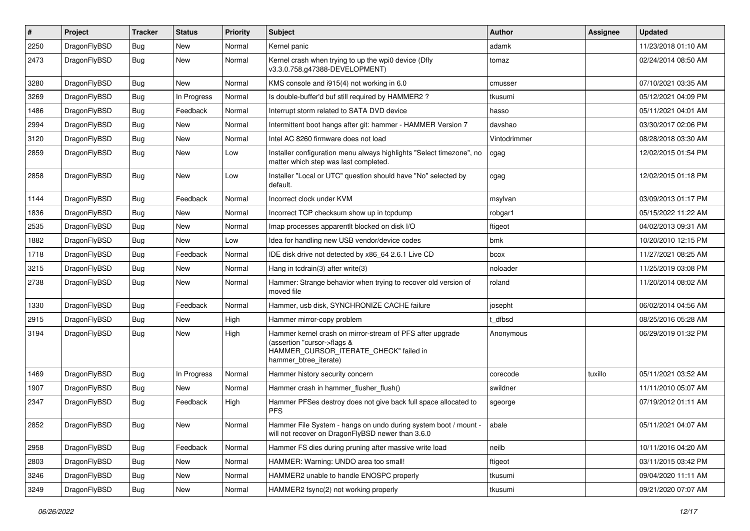| ∦    | Project      | <b>Tracker</b> | <b>Status</b> | <b>Priority</b> | Subject                                                                                                                                                     | Author       | Assignee | <b>Updated</b>      |
|------|--------------|----------------|---------------|-----------------|-------------------------------------------------------------------------------------------------------------------------------------------------------------|--------------|----------|---------------------|
| 2250 | DragonFlyBSD | Bug            | <b>New</b>    | Normal          | Kernel panic                                                                                                                                                | adamk        |          | 11/23/2018 01:10 AM |
| 2473 | DragonFlyBSD | <b>Bug</b>     | New           | Normal          | Kernel crash when trying to up the wpi0 device (Dfly<br>v3.3.0.758.g47388-DEVELOPMENT)                                                                      | tomaz        |          | 02/24/2014 08:50 AM |
| 3280 | DragonFlyBSD | Bug            | New           | Normal          | KMS console and i915(4) not working in 6.0                                                                                                                  | cmusser      |          | 07/10/2021 03:35 AM |
| 3269 | DragonFlyBSD | Bug            | In Progress   | Normal          | Is double-buffer'd buf still required by HAMMER2?                                                                                                           | tkusumi      |          | 05/12/2021 04:09 PM |
| 1486 | DragonFlyBSD | <b>Bug</b>     | Feedback      | Normal          | Interrupt storm related to SATA DVD device                                                                                                                  | hasso        |          | 05/11/2021 04:01 AM |
| 2994 | DragonFlyBSD | Bug            | <b>New</b>    | Normal          | Intermittent boot hangs after git: hammer - HAMMER Version 7                                                                                                | davshao      |          | 03/30/2017 02:06 PM |
| 3120 | DragonFlyBSD | <b>Bug</b>     | New           | Normal          | Intel AC 8260 firmware does not load                                                                                                                        | Vintodrimmer |          | 08/28/2018 03:30 AM |
| 2859 | DragonFlyBSD | Bug            | <b>New</b>    | Low             | Installer configuration menu always highlights "Select timezone", no<br>matter which step was last completed.                                               | cgag         |          | 12/02/2015 01:54 PM |
| 2858 | DragonFlyBSD | Bug            | <b>New</b>    | Low             | Installer "Local or UTC" question should have "No" selected by<br>default.                                                                                  | cgag         |          | 12/02/2015 01:18 PM |
| 1144 | DragonFlyBSD | <b>Bug</b>     | Feedback      | Normal          | Incorrect clock under KVM                                                                                                                                   | msylvan      |          | 03/09/2013 01:17 PM |
| 1836 | DragonFlyBSD | <b>Bug</b>     | New           | Normal          | Incorrect TCP checksum show up in tcpdump                                                                                                                   | robgar1      |          | 05/15/2022 11:22 AM |
| 2535 | DragonFlyBSD | Bug            | <b>New</b>    | Normal          | Imap processes apparentlt blocked on disk I/O                                                                                                               | ftigeot      |          | 04/02/2013 09:31 AM |
| 1882 | DragonFlyBSD | <b>Bug</b>     | New           | Low             | Idea for handling new USB vendor/device codes                                                                                                               | bmk          |          | 10/20/2010 12:15 PM |
| 1718 | DragonFlyBSD | Bug            | Feedback      | Normal          | IDE disk drive not detected by x86 64 2.6.1 Live CD                                                                                                         | bcox         |          | 11/27/2021 08:25 AM |
| 3215 | DragonFlyBSD | Bug            | <b>New</b>    | Normal          | Hang in tcdrain(3) after write(3)                                                                                                                           | noloader     |          | 11/25/2019 03:08 PM |
| 2738 | DragonFlyBSD | Bug            | <b>New</b>    | Normal          | Hammer: Strange behavior when trying to recover old version of<br>moved file                                                                                | roland       |          | 11/20/2014 08:02 AM |
| 1330 | DragonFlyBSD | Bug            | Feedback      | Normal          | Hammer, usb disk, SYNCHRONIZE CACHE failure                                                                                                                 | josepht      |          | 06/02/2014 04:56 AM |
| 2915 | DragonFlyBSD | <b>Bug</b>     | New           | High            | Hammer mirror-copy problem                                                                                                                                  | t_dfbsd      |          | 08/25/2016 05:28 AM |
| 3194 | DragonFlyBSD | Bug            | <b>New</b>    | High            | Hammer kernel crash on mirror-stream of PFS after upgrade<br>(assertion "cursor->flags &<br>HAMMER_CURSOR_ITERATE_CHECK" failed in<br>hammer_btree_iterate) | Anonymous    |          | 06/29/2019 01:32 PM |
| 1469 | DragonFlyBSD | <b>Bug</b>     | In Progress   | Normal          | Hammer history security concern                                                                                                                             | corecode     | tuxillo  | 05/11/2021 03:52 AM |
| 1907 | DragonFlyBSD | Bug            | <b>New</b>    | Normal          | Hammer crash in hammer_flusher_flush()                                                                                                                      | swildner     |          | 11/11/2010 05:07 AM |
| 2347 | DragonFlyBSD | Bug            | Feedback      | High            | Hammer PFSes destroy does not give back full space allocated to<br><b>PFS</b>                                                                               | sgeorge      |          | 07/19/2012 01:11 AM |
| 2852 | DragonFlyBSD | <b>Bug</b>     | New           | Normal          | Hammer File System - hangs on undo during system boot / mount -<br>will not recover on DragonFlyBSD newer than 3.6.0                                        | abale        |          | 05/11/2021 04:07 AM |
| 2958 | DragonFlyBSD | Bug            | Feedback      | Normal          | Hammer FS dies during pruning after massive write load                                                                                                      | neilb        |          | 10/11/2016 04:20 AM |
| 2803 | DragonFlyBSD | <b>Bug</b>     | New           | Normal          | HAMMER: Warning: UNDO area too small!                                                                                                                       | ftigeot      |          | 03/11/2015 03:42 PM |
| 3246 | DragonFlyBSD | <b>Bug</b>     | New           | Normal          | HAMMER2 unable to handle ENOSPC properly                                                                                                                    | tkusumi      |          | 09/04/2020 11:11 AM |
| 3249 | DragonFlyBSD | <b>Bug</b>     | New           | Normal          | HAMMER2 fsync(2) not working properly                                                                                                                       | tkusumi      |          | 09/21/2020 07:07 AM |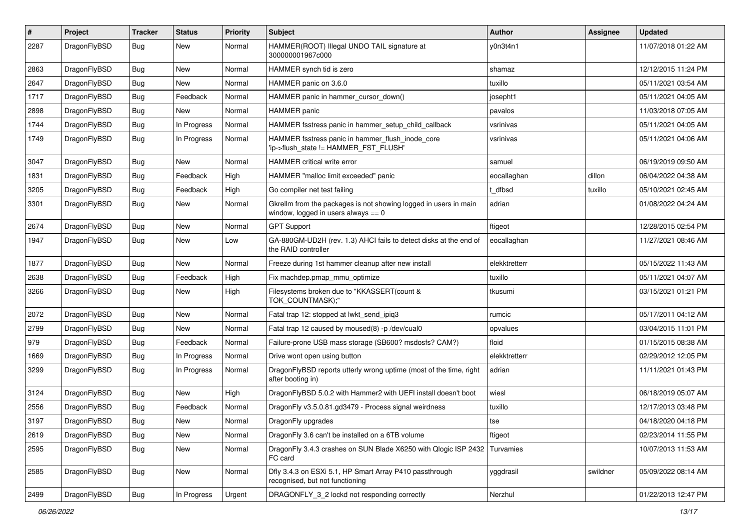| #    | Project      | <b>Tracker</b> | <b>Status</b> | <b>Priority</b> | Subject                                                                                                   | <b>Author</b> | <b>Assignee</b> | <b>Updated</b>      |
|------|--------------|----------------|---------------|-----------------|-----------------------------------------------------------------------------------------------------------|---------------|-----------------|---------------------|
| 2287 | DragonFlyBSD | Bug            | New           | Normal          | HAMMER(ROOT) Illegal UNDO TAIL signature at<br>300000001967c000                                           | y0n3t4n1      |                 | 11/07/2018 01:22 AM |
| 2863 | DragonFlyBSD | <b>Bug</b>     | New           | Normal          | HAMMER synch tid is zero                                                                                  | shamaz        |                 | 12/12/2015 11:24 PM |
| 2647 | DragonFlyBSD | <b>Bug</b>     | New           | Normal          | HAMMER panic on 3.6.0                                                                                     | tuxillo       |                 | 05/11/2021 03:54 AM |
| 1717 | DragonFlyBSD | <b>Bug</b>     | Feedback      | Normal          | HAMMER panic in hammer_cursor_down()                                                                      | josepht1      |                 | 05/11/2021 04:05 AM |
| 2898 | DragonFlyBSD | <b>Bug</b>     | New           | Normal          | <b>HAMMER</b> panic                                                                                       | pavalos       |                 | 11/03/2018 07:05 AM |
| 1744 | DragonFlyBSD | Bug            | In Progress   | Normal          | HAMMER fsstress panic in hammer setup child callback                                                      | vsrinivas     |                 | 05/11/2021 04:05 AM |
| 1749 | DragonFlyBSD | Bug            | In Progress   | Normal          | HAMMER fsstress panic in hammer_flush_inode_core<br>'ip->flush_state != HAMMER_FST_FLUSH'                 | vsrinivas     |                 | 05/11/2021 04:06 AM |
| 3047 | DragonFlyBSD | Bug            | New           | Normal          | HAMMER critical write error                                                                               | samuel        |                 | 06/19/2019 09:50 AM |
| 1831 | DragonFlyBSD | <b>Bug</b>     | Feedback      | High            | HAMMER "malloc limit exceeded" panic                                                                      | eocallaghan   | dillon          | 06/04/2022 04:38 AM |
| 3205 | DragonFlyBSD | <b>Bug</b>     | Feedback      | High            | Go compiler net test failing                                                                              | t_dfbsd       | tuxillo         | 05/10/2021 02:45 AM |
| 3301 | DragonFlyBSD | Bug            | New           | Normal          | Gkrellm from the packages is not showing logged in users in main<br>window, logged in users always $== 0$ | adrian        |                 | 01/08/2022 04:24 AM |
| 2674 | DragonFlyBSD | Bug            | <b>New</b>    | Normal          | <b>GPT Support</b>                                                                                        | ftigeot       |                 | 12/28/2015 02:54 PM |
| 1947 | DragonFlyBSD | <b>Bug</b>     | <b>New</b>    | Low             | GA-880GM-UD2H (rev. 1.3) AHCI fails to detect disks at the end of<br>the RAID controller                  | eocallaghan   |                 | 11/27/2021 08:46 AM |
| 1877 | DragonFlyBSD | Bug            | <b>New</b>    | Normal          | Freeze during 1st hammer cleanup after new install                                                        | elekktretterr |                 | 05/15/2022 11:43 AM |
| 2638 | DragonFlyBSD | <b>Bug</b>     | Feedback      | High            | Fix machdep.pmap mmu optimize                                                                             | tuxillo       |                 | 05/11/2021 04:07 AM |
| 3266 | DragonFlyBSD | <b>Bug</b>     | <b>New</b>    | High            | Filesystems broken due to "KKASSERT(count &<br>TOK_COUNTMASK);"                                           | tkusumi       |                 | 03/15/2021 01:21 PM |
| 2072 | DragonFlyBSD | Bug            | New           | Normal          | Fatal trap 12: stopped at lwkt send ipig3                                                                 | rumcic        |                 | 05/17/2011 04:12 AM |
| 2799 | DragonFlyBSD | Bug            | <b>New</b>    | Normal          | Fatal trap 12 caused by moused(8) -p /dev/cual0                                                           | opvalues      |                 | 03/04/2015 11:01 PM |
| 979  | DragonFlyBSD | <b>Bug</b>     | Feedback      | Normal          | Failure-prone USB mass storage (SB600? msdosfs? CAM?)                                                     | floid         |                 | 01/15/2015 08:38 AM |
| 1669 | DragonFlyBSD | <b>Bug</b>     | In Progress   | Normal          | Drive wont open using button                                                                              | elekktretterr |                 | 02/29/2012 12:05 PM |
| 3299 | DragonFlyBSD | Bug            | In Progress   | Normal          | DragonFlyBSD reports utterly wrong uptime (most of the time, right<br>after booting in)                   | adrian        |                 | 11/11/2021 01:43 PM |
| 3124 | DragonFlyBSD | Bug            | <b>New</b>    | High            | DragonFlyBSD 5.0.2 with Hammer2 with UEFI install doesn't boot                                            | wiesl         |                 | 06/18/2019 05:07 AM |
| 2556 | DragonFlyBSD | <b>Bug</b>     | Feedback      | Normal          | DragonFly v3.5.0.81.gd3479 - Process signal weirdness                                                     | tuxillo       |                 | 12/17/2013 03:48 PM |
| 3197 | DragonFlyBSD | Bug            | <b>New</b>    | Normal          | DragonFly upgrades                                                                                        | tse           |                 | 04/18/2020 04:18 PM |
| 2619 | DragonFlyBSD | <b>Bug</b>     | New           | Normal          | DragonFly 3.6 can't be installed on a 6TB volume                                                          | ftigeot       |                 | 02/23/2014 11:55 PM |
| 2595 | DragonFlyBSD | <b>Bug</b>     | New           | Normal          | DragonFly 3.4.3 crashes on SUN Blade X6250 with Qlogic ISP 2432<br>FC card                                | Turvamies     |                 | 10/07/2013 11:53 AM |
| 2585 | DragonFlyBSD | <b>Bug</b>     | New           | Normal          | Dfly 3.4.3 on ESXi 5.1, HP Smart Array P410 passthrough<br>recognised, but not functioning                | yggdrasil     | swildner        | 05/09/2022 08:14 AM |
| 2499 | DragonFlyBSD | <b>Bug</b>     | In Progress   | Urgent          | DRAGONFLY_3_2 lockd not responding correctly                                                              | Nerzhul       |                 | 01/22/2013 12:47 PM |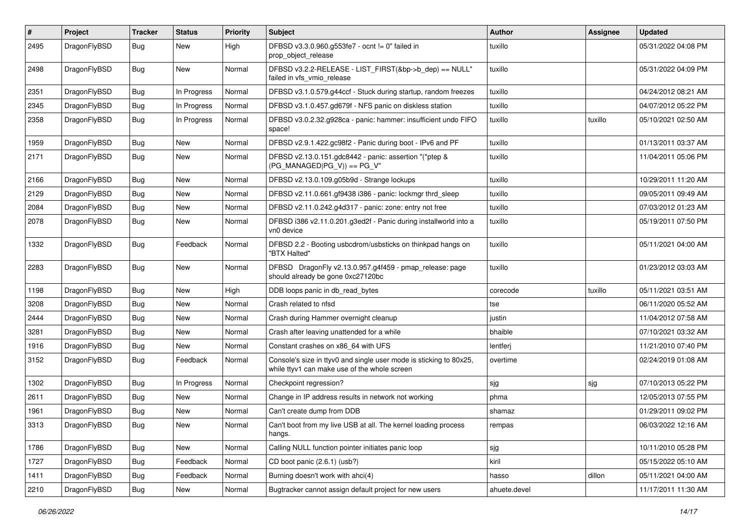| $\sharp$ | Project      | <b>Tracker</b> | <b>Status</b> | <b>Priority</b> | Subject                                                                                                            | <b>Author</b> | <b>Assignee</b> | <b>Updated</b>      |
|----------|--------------|----------------|---------------|-----------------|--------------------------------------------------------------------------------------------------------------------|---------------|-----------------|---------------------|
| 2495     | DragonFlyBSD | <b>Bug</b>     | New           | High            | DFBSD v3.3.0.960.g553fe7 - ocnt != 0" failed in<br>prop_object_release                                             | tuxillo       |                 | 05/31/2022 04:08 PM |
| 2498     | DragonFlyBSD | Bug            | New           | Normal          | DFBSD v3.2.2-RELEASE - LIST_FIRST(&bp->b_dep) == NULL"<br>failed in vfs_vmio_release                               | tuxillo       |                 | 05/31/2022 04:09 PM |
| 2351     | DragonFlyBSD | Bug            | In Progress   | Normal          | DFBSD v3.1.0.579.g44ccf - Stuck during startup, random freezes                                                     | tuxillo       |                 | 04/24/2012 08:21 AM |
| 2345     | DragonFlyBSD | <b>Bug</b>     | In Progress   | Normal          | DFBSD v3.1.0.457.gd679f - NFS panic on diskless station                                                            | tuxillo       |                 | 04/07/2012 05:22 PM |
| 2358     | DragonFlyBSD | Bug            | In Progress   | Normal          | DFBSD v3.0.2.32.g928ca - panic: hammer: insufficient undo FIFO<br>space!                                           | tuxillo       | tuxillo         | 05/10/2021 02:50 AM |
| 1959     | DragonFlyBSD | Bug            | <b>New</b>    | Normal          | DFBSD v2.9.1.422.gc98f2 - Panic during boot - IPv6 and PF                                                          | tuxillo       |                 | 01/13/2011 03:37 AM |
| 2171     | DragonFlyBSD | Bug            | <b>New</b>    | Normal          | DFBSD v2.13.0.151.gdc8442 - panic: assertion "(*ptep &<br>$(PG$ MANAGED PG_V)) == PG_V"                            | tuxillo       |                 | 11/04/2011 05:06 PM |
| 2166     | DragonFlyBSD | Bug            | <b>New</b>    | Normal          | DFBSD v2.13.0.109.g05b9d - Strange lockups                                                                         | tuxillo       |                 | 10/29/2011 11:20 AM |
| 2129     | DragonFlyBSD | <b>Bug</b>     | New           | Normal          | DFBSD v2.11.0.661.gf9438 i386 - panic: lockmgr thrd_sleep                                                          | tuxillo       |                 | 09/05/2011 09:49 AM |
| 2084     | DragonFlyBSD | <b>Bug</b>     | New           | Normal          | DFBSD v2.11.0.242.g4d317 - panic: zone: entry not free                                                             | tuxillo       |                 | 07/03/2012 01:23 AM |
| 2078     | DragonFlyBSD | <b>Bug</b>     | New           | Normal          | DFBSD i386 v2.11.0.201.g3ed2f - Panic during installworld into a<br>vn0 device                                     | tuxillo       |                 | 05/19/2011 07:50 PM |
| 1332     | DragonFlyBSD | Bug            | Feedback      | Normal          | DFBSD 2.2 - Booting usbcdrom/usbsticks on thinkpad hangs on<br>"BTX Halted"                                        | tuxillo       |                 | 05/11/2021 04:00 AM |
| 2283     | DragonFlyBSD | Bug            | New           | Normal          | DFBSD DragonFly v2.13.0.957.g4f459 - pmap_release: page<br>should already be gone 0xc27120bc                       | tuxillo       |                 | 01/23/2012 03:03 AM |
| 1198     | DragonFlyBSD | Bug            | <b>New</b>    | High            | DDB loops panic in db_read_bytes                                                                                   | corecode      | tuxillo         | 05/11/2021 03:51 AM |
| 3208     | DragonFlyBSD | <b>Bug</b>     | New           | Normal          | Crash related to nfsd                                                                                              | tse           |                 | 06/11/2020 05:52 AM |
| 2444     | DragonFlyBSD | <b>Bug</b>     | New           | Normal          | Crash during Hammer overnight cleanup                                                                              | justin        |                 | 11/04/2012 07:58 AM |
| 3281     | DragonFlyBSD | Bug            | New           | Normal          | Crash after leaving unattended for a while                                                                         | bhaible       |                 | 07/10/2021 03:32 AM |
| 1916     | DragonFlyBSD | Bug            | New           | Normal          | Constant crashes on x86_64 with UFS                                                                                | lentferj      |                 | 11/21/2010 07:40 PM |
| 3152     | DragonFlyBSD | Bug            | Feedback      | Normal          | Console's size in ttyv0 and single user mode is sticking to 80x25,<br>while ttyv1 can make use of the whole screen | overtime      |                 | 02/24/2019 01:08 AM |
| 1302     | DragonFlyBSD | Bug            | In Progress   | Normal          | Checkpoint regression?                                                                                             | sjg           | sjg             | 07/10/2013 05:22 PM |
| 2611     | DragonFlyBSD | Bug            | New           | Normal          | Change in IP address results in network not working                                                                | phma          |                 | 12/05/2013 07:55 PM |
| 1961     | DragonFlyBSD | Bug            | New           | Normal          | Can't create dump from DDB                                                                                         | shamaz        |                 | 01/29/2011 09:02 PM |
| 3313     | DragonFlyBSD | <b>Bug</b>     | New           | Normal          | Can't boot from my live USB at all. The kernel loading process<br>hangs.                                           | rempas        |                 | 06/03/2022 12:16 AM |
| 1786     | DragonFlyBSD | Bug            | New           | Normal          | Calling NULL function pointer initiates panic loop                                                                 | sjg           |                 | 10/11/2010 05:28 PM |
| 1727     | DragonFlyBSD | <b>Bug</b>     | Feedback      | Normal          | CD boot panic (2.6.1) (usb?)                                                                                       | kiril         |                 | 05/15/2022 05:10 AM |
| 1411     | DragonFlyBSD | <b>Bug</b>     | Feedback      | Normal          | Burning doesn't work with ahci(4)                                                                                  | hasso         | dillon          | 05/11/2021 04:00 AM |
| 2210     | DragonFlyBSD | <b>Bug</b>     | New           | Normal          | Bugtracker cannot assign default project for new users                                                             | ahuete.devel  |                 | 11/17/2011 11:30 AM |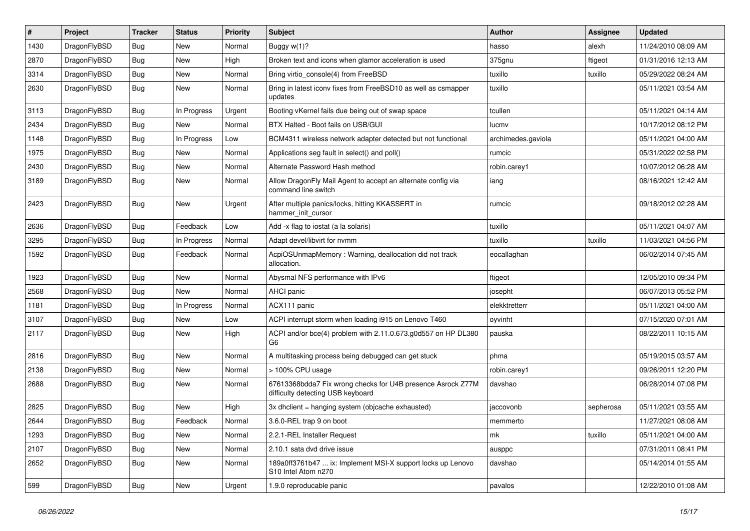| #    | Project      | <b>Tracker</b> | <b>Status</b> | <b>Priority</b> | Subject                                                                                          | Author             | Assignee  | <b>Updated</b>      |
|------|--------------|----------------|---------------|-----------------|--------------------------------------------------------------------------------------------------|--------------------|-----------|---------------------|
| 1430 | DragonFlyBSD | Bug            | <b>New</b>    | Normal          | Buggy w(1)?                                                                                      | hasso              | alexh     | 11/24/2010 08:09 AM |
| 2870 | DragonFlyBSD | Bug            | <b>New</b>    | High            | Broken text and icons when glamor acceleration is used                                           | 375gnu             | ftigeot   | 01/31/2016 12:13 AM |
| 3314 | DragonFlyBSD | <b>Bug</b>     | New           | Normal          | Bring virtio console(4) from FreeBSD                                                             | tuxillo            | tuxillo   | 05/29/2022 08:24 AM |
| 2630 | DragonFlyBSD | Bug            | New           | Normal          | Bring in latest iconv fixes from FreeBSD10 as well as csmapper<br>updates                        | tuxillo            |           | 05/11/2021 03:54 AM |
| 3113 | DragonFlyBSD | Bug            | In Progress   | Urgent          | Booting vKernel fails due being out of swap space                                                | tcullen            |           | 05/11/2021 04:14 AM |
| 2434 | DragonFlyBSD | Bug            | New           | Normal          | BTX Halted - Boot fails on USB/GUI                                                               | lucmv              |           | 10/17/2012 08:12 PM |
| 1148 | DragonFlyBSD | <b>Bug</b>     | In Progress   | Low             | BCM4311 wireless network adapter detected but not functional                                     | archimedes.gaviola |           | 05/11/2021 04:00 AM |
| 1975 | DragonFlyBSD | <b>Bug</b>     | <b>New</b>    | Normal          | Applications seg fault in select() and poll()                                                    | rumcic             |           | 05/31/2022 02:58 PM |
| 2430 | DragonFlyBSD | <b>Bug</b>     | <b>New</b>    | Normal          | Alternate Password Hash method                                                                   | robin.carey1       |           | 10/07/2012 06:28 AM |
| 3189 | DragonFlyBSD | <b>Bug</b>     | New           | Normal          | Allow DragonFly Mail Agent to accept an alternate config via<br>command line switch              | iang               |           | 08/16/2021 12:42 AM |
| 2423 | DragonFlyBSD | <b>Bug</b>     | New           | Urgent          | After multiple panics/locks, hitting KKASSERT in<br>hammer init cursor                           | rumcic             |           | 09/18/2012 02:28 AM |
| 2636 | DragonFlyBSD | Bug            | Feedback      | Low             | Add -x flag to iostat (a la solaris)                                                             | tuxillo            |           | 05/11/2021 04:07 AM |
| 3295 | DragonFlyBSD | <b>Bug</b>     | In Progress   | Normal          | Adapt devel/libvirt for nvmm                                                                     | tuxillo            | tuxillo   | 11/03/2021 04:56 PM |
| 1592 | DragonFlyBSD | <b>Bug</b>     | Feedback      | Normal          | AcpiOSUnmapMemory: Warning, deallocation did not track<br>allocation.                            | eocallaghan        |           | 06/02/2014 07:45 AM |
| 1923 | DragonFlyBSD | <b>Bug</b>     | <b>New</b>    | Normal          | Abysmal NFS performance with IPv6                                                                | ftigeot            |           | 12/05/2010 09:34 PM |
| 2568 | DragonFlyBSD | Bug            | New           | Normal          | AHCI panic                                                                                       | josepht            |           | 06/07/2013 05:52 PM |
| 1181 | DragonFlyBSD | <b>Bug</b>     | In Progress   | Normal          | ACX111 panic                                                                                     | elekktretterr      |           | 05/11/2021 04:00 AM |
| 3107 | DragonFlyBSD | Bug            | New           | Low             | ACPI interrupt storm when loading i915 on Lenovo T460                                            | oyvinht            |           | 07/15/2020 07:01 AM |
| 2117 | DragonFlyBSD | Bug            | New           | High            | ACPI and/or bce(4) problem with 2.11.0.673.g0d557 on HP DL380<br>G <sub>6</sub>                  | pauska             |           | 08/22/2011 10:15 AM |
| 2816 | DragonFlyBSD | Bug            | <b>New</b>    | Normal          | A multitasking process being debugged can get stuck                                              | phma               |           | 05/19/2015 03:57 AM |
| 2138 | DragonFlyBSD | <b>Bug</b>     | New           | Normal          | > 100% CPU usage                                                                                 | robin.carey1       |           | 09/26/2011 12:20 PM |
| 2688 | DragonFlyBSD | <b>Bug</b>     | New           | Normal          | 67613368bdda7 Fix wrong checks for U4B presence Asrock Z77M<br>difficulty detecting USB keyboard | davshao            |           | 06/28/2014 07:08 PM |
| 2825 | DragonFlyBSD | Bug            | <b>New</b>    | High            | 3x dhclient = hanging system (objcache exhausted)                                                | jaccovonb          | sepherosa | 05/11/2021 03:55 AM |
| 2644 | DragonFlyBSD | Bug            | Feedback      | Normal          | 3.6.0-REL trap 9 on boot                                                                         | memmerto           |           | 11/27/2021 08:08 AM |
| 1293 | DragonFlyBSD | <b>Bug</b>     | New           | Normal          | 2.2.1-REL Installer Request                                                                      | mk                 | tuxillo   | 05/11/2021 04:00 AM |
| 2107 | DragonFlyBSD | <b>Bug</b>     | New           | Normal          | 2.10.1 sata dvd drive issue                                                                      | ausppc             |           | 07/31/2011 08:41 PM |
| 2652 | DragonFlyBSD | <b>Bug</b>     | New           | Normal          | 189a0ff3761b47  ix: Implement MSI-X support locks up Lenovo<br>S10 Intel Atom n270               | davshao            |           | 05/14/2014 01:55 AM |
| 599  | DragonFlyBSD | Bug            | New           | Urgent          | 1.9.0 reproducable panic                                                                         | pavalos            |           | 12/22/2010 01:08 AM |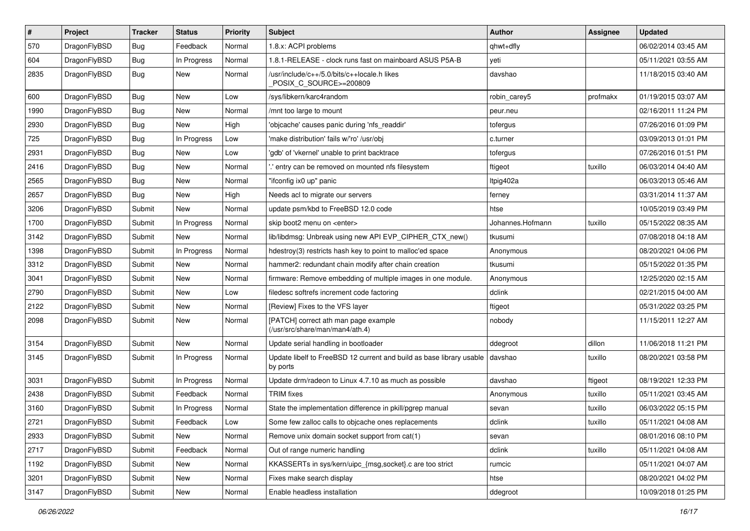| $\sharp$ | Project      | <b>Tracker</b> | <b>Status</b> | <b>Priority</b> | Subject                                                                          | Author           | Assignee | <b>Updated</b>      |
|----------|--------------|----------------|---------------|-----------------|----------------------------------------------------------------------------------|------------------|----------|---------------------|
| 570      | DragonFlyBSD | Bug            | Feedback      | Normal          | 1.8.x: ACPI problems                                                             | qhwt+dfly        |          | 06/02/2014 03:45 AM |
| 604      | DragonFlyBSD | Bug            | In Progress   | Normal          | 1.8.1-RELEASE - clock runs fast on mainboard ASUS P5A-B                          | yeti             |          | 05/11/2021 03:55 AM |
| 2835     | DragonFlyBSD | Bug            | New           | Normal          | /usr/include/c++/5.0/bits/c++locale.h likes<br>POSIX_C_SOURCE>=200809            | davshao          |          | 11/18/2015 03:40 AM |
| 600      | DragonFlyBSD | Bug            | <b>New</b>    | Low             | /sys/libkern/karc4random                                                         | robin carey5     | profmakx | 01/19/2015 03:07 AM |
| 1990     | DragonFlyBSD | Bug            | New           | Normal          | /mnt too large to mount                                                          | peur.neu         |          | 02/16/2011 11:24 PM |
| 2930     | DragonFlyBSD | Bug            | <b>New</b>    | High            | 'objcache' causes panic during 'nfs_readdir'                                     | tofergus         |          | 07/26/2016 01:09 PM |
| 725      | DragonFlyBSD | Bug            | In Progress   | Low             | 'make distribution' fails w/'ro' /usr/obj                                        | c.turner         |          | 03/09/2013 01:01 PM |
| 2931     | DragonFlyBSD | Bug            | New           | Low             | 'gdb' of 'vkernel' unable to print backtrace                                     | tofergus         |          | 07/26/2016 01:51 PM |
| 2416     | DragonFlyBSD | Bug            | <b>New</b>    | Normal          | ".' entry can be removed on mounted nfs filesystem                               | ftigeot          | tuxillo  | 06/03/2014 04:40 AM |
| 2565     | DragonFlyBSD | Bug            | New           | Normal          | "ifconfig ix0 up" panic                                                          | Itpig402a        |          | 06/03/2013 05:46 AM |
| 2657     | DragonFlyBSD | Bug            | New           | High            | Needs acl to migrate our servers                                                 | ferney           |          | 03/31/2014 11:37 AM |
| 3206     | DragonFlyBSD | Submit         | New           | Normal          | update psm/kbd to FreeBSD 12.0 code                                              | htse             |          | 10/05/2019 03:49 PM |
| 1700     | DragonFlyBSD | Submit         | In Progress   | Normal          | skip boot2 menu on <enter></enter>                                               | Johannes.Hofmann | tuxillo  | 05/15/2022 08:35 AM |
| 3142     | DragonFlyBSD | Submit         | New           | Normal          | lib/libdmsg: Unbreak using new API EVP CIPHER CTX new()                          | tkusumi          |          | 07/08/2018 04:18 AM |
| 1398     | DragonFlyBSD | Submit         | In Progress   | Normal          | hdestroy(3) restricts hash key to point to malloc'ed space                       | Anonymous        |          | 08/20/2021 04:06 PM |
| 3312     | DragonFlyBSD | Submit         | <b>New</b>    | Normal          | hammer2: redundant chain modify after chain creation                             | tkusumi          |          | 05/15/2022 01:35 PM |
| 3041     | DragonFlyBSD | Submit         | New           | Normal          | firmware: Remove embedding of multiple images in one module.                     | Anonymous        |          | 12/25/2020 02:15 AM |
| 2790     | DragonFlyBSD | Submit         | New           | Low             | filedesc softrefs increment code factoring                                       | dclink           |          | 02/21/2015 04:00 AM |
| 2122     | DragonFlyBSD | Submit         | <b>New</b>    | Normal          | [Review] Fixes to the VFS layer                                                  | ftigeot          |          | 05/31/2022 03:25 PM |
| 2098     | DragonFlyBSD | Submit         | <b>New</b>    | Normal          | [PATCH] correct ath man page example<br>(/usr/src/share/man/man4/ath.4)          | nobody           |          | 11/15/2011 12:27 AM |
| 3154     | DragonFlyBSD | Submit         | <b>New</b>    | Normal          | Update serial handling in bootloader                                             | ddegroot         | dillon   | 11/06/2018 11:21 PM |
| 3145     | DragonFlyBSD | Submit         | In Progress   | Normal          | Update libelf to FreeBSD 12 current and build as base library usable<br>by ports | davshao          | tuxillo  | 08/20/2021 03:58 PM |
| 3031     | DragonFlyBSD | Submit         | In Progress   | Normal          | Update drm/radeon to Linux 4.7.10 as much as possible                            | davshao          | ftigeot  | 08/19/2021 12:33 PM |
| 2438     | DragonFlyBSD | Submit         | Feedback      | Normal          | <b>TRIM</b> fixes                                                                | Anonymous        | tuxillo  | 05/11/2021 03:45 AM |
| 3160     | DragonFlyBSD | Submit         | In Progress   | Normal          | State the implementation difference in pkill/pgrep manual                        | sevan            | tuxillo  | 06/03/2022 05:15 PM |
| 2721     | DragonFlyBSD | Submit         | Feedback      | Low             | Some few zalloc calls to objcache ones replacements                              | dclink           | tuxillo  | 05/11/2021 04:08 AM |
| 2933     | DragonFlyBSD | Submit         | New           | Normal          | Remove unix domain socket support from cat(1)                                    | sevan            |          | 08/01/2016 08:10 PM |
| 2717     | DragonFlyBSD | Submit         | Feedback      | Normal          | Out of range numeric handling                                                    | dclink           | tuxillo  | 05/11/2021 04:08 AM |
| 1192     | DragonFlyBSD | Submit         | New           | Normal          | KKASSERTs in sys/kern/uipc_{msg,socket}.c are too strict                         | rumcic           |          | 05/11/2021 04:07 AM |
| 3201     | DragonFlyBSD | Submit         | New           | Normal          | Fixes make search display                                                        | htse             |          | 08/20/2021 04:02 PM |
| 3147     | DragonFlyBSD | Submit         | New           | Normal          | Enable headless installation                                                     | ddegroot         |          | 10/09/2018 01:25 PM |